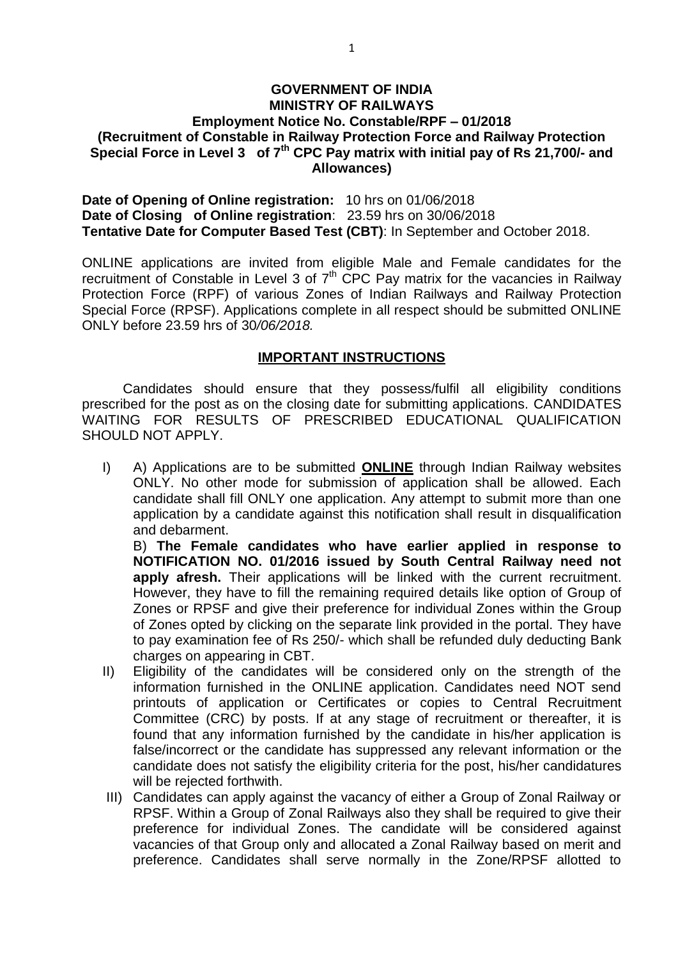#### **GOVERNMENT OF INDIA MINISTRY OF RAILWAYS Employment Notice No. Constable/RPF – 01/2018 (Recruitment of Constable in Railway Protection Force and Railway Protection Special Force in Level 3 of 7th CPC Pay matrix with initial pay of Rs 21,700/- and Allowances)**

**Date of Opening of Online registration:** 10 hrs on 01/06/2018 **Date of Closing of Online registration**: 23.59 hrs on 30/06/2018 **Tentative Date for Computer Based Test (CBT)**: In September and October 2018.

ONLINE applications are invited from eligible Male and Female candidates for the recruitment of Constable in Level 3 of  $7<sup>th</sup>$  CPC Pay matrix for the vacancies in Railway Protection Force (RPF) of various Zones of Indian Railways and Railway Protection Special Force (RPSF). Applications complete in all respect should be submitted ONLINE ONLY before 23.59 hrs of 30*/06/2018.*

#### **IMPORTANT INSTRUCTIONS**

Candidates should ensure that they possess/fulfil all eligibility conditions prescribed for the post as on the closing date for submitting applications. CANDIDATES WAITING FOR RESULTS OF PRESCRIBED EDUCATIONAL QUALIFICATION SHOULD NOT APPLY.

I) A) Applications are to be submitted **ONLINE** through Indian Railway websites ONLY. No other mode for submission of application shall be allowed. Each candidate shall fill ONLY one application. Any attempt to submit more than one application by a candidate against this notification shall result in disqualification and debarment.

B) **The Female candidates who have earlier applied in response to NOTIFICATION NO. 01/2016 issued by South Central Railway need not**  apply afresh. Their applications will be linked with the current recruitment. However, they have to fill the remaining required details like option of Group of Zones or RPSF and give their preference for individual Zones within the Group of Zones opted by clicking on the separate link provided in the portal. They have to pay examination fee of Rs 250/- which shall be refunded duly deducting Bank charges on appearing in CBT.

- II) Eligibility of the candidates will be considered only on the strength of the information furnished in the ONLINE application. Candidates need NOT send printouts of application or Certificates or copies to Central Recruitment Committee (CRC) by posts. If at any stage of recruitment or thereafter, it is found that any information furnished by the candidate in his/her application is false/incorrect or the candidate has suppressed any relevant information or the candidate does not satisfy the eligibility criteria for the post, his/her candidatures will be rejected forthwith.
- III) Candidates can apply against the vacancy of either a Group of Zonal Railway or RPSF. Within a Group of Zonal Railways also they shall be required to give their preference for individual Zones. The candidate will be considered against vacancies of that Group only and allocated a Zonal Railway based on merit and preference. Candidates shall serve normally in the Zone/RPSF allotted to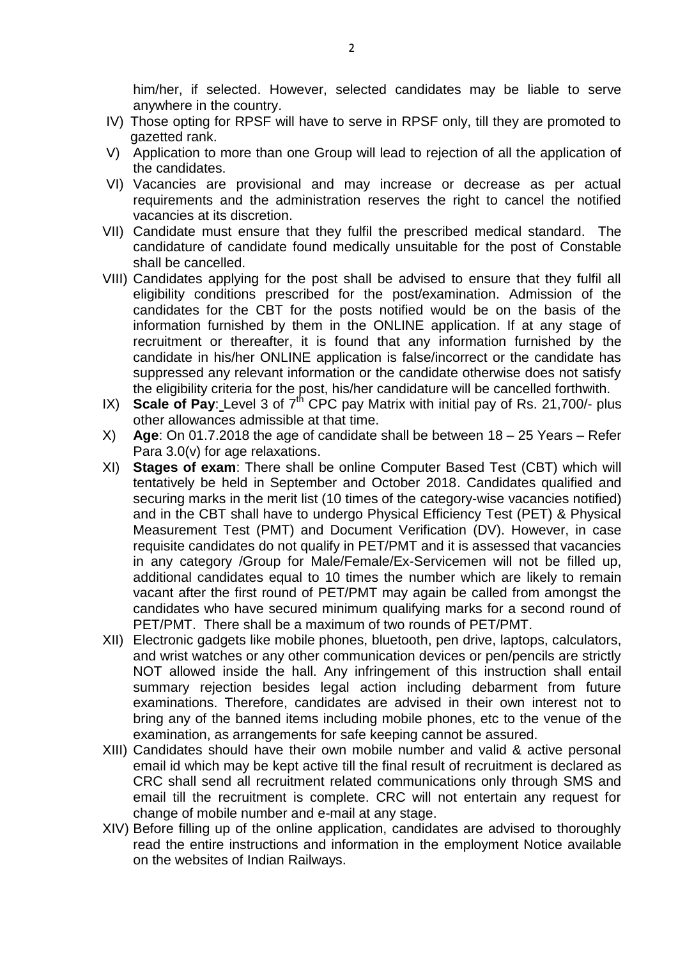him/her, if selected. However, selected candidates may be liable to serve anywhere in the country.

- IV) Those opting for RPSF will have to serve in RPSF only, till they are promoted to gazetted rank.
- V) Application to more than one Group will lead to rejection of all the application of the candidates.
- VI) Vacancies are provisional and may increase or decrease as per actual requirements and the administration reserves the right to cancel the notified vacancies at its discretion.
- VII) Candidate must ensure that they fulfil the prescribed medical standard. The candidature of candidate found medically unsuitable for the post of Constable shall be cancelled.
- VIII) Candidates applying for the post shall be advised to ensure that they fulfil all eligibility conditions prescribed for the post/examination. Admission of the candidates for the CBT for the posts notified would be on the basis of the information furnished by them in the ONLINE application. If at any stage of recruitment or thereafter, it is found that any information furnished by the candidate in his/her ONLINE application is false/incorrect or the candidate has suppressed any relevant information or the candidate otherwise does not satisfy the eligibility criteria for the post, his/her candidature will be cancelled forthwith.
- IX) **Scale of Pay**: Level 3 of  $7<sup>th</sup>$  CPC pay Matrix with initial pay of Rs. 21,700/- plus other allowances admissible at that time.
- X) **Age**: On 01.7.2018 the age of candidate shall be between 18 25 Years Refer Para 3.0(v) for age relaxations.
- XI) **Stages of exam**: There shall be online Computer Based Test (CBT) which will tentatively be held in September and October 2018. Candidates qualified and securing marks in the merit list (10 times of the category-wise vacancies notified) and in the CBT shall have to undergo Physical Efficiency Test (PET) & Physical Measurement Test (PMT) and Document Verification (DV). However, in case requisite candidates do not qualify in PET/PMT and it is assessed that vacancies in any category /Group for Male/Female/Ex-Servicemen will not be filled up, additional candidates equal to 10 times the number which are likely to remain vacant after the first round of PET/PMT may again be called from amongst the candidates who have secured minimum qualifying marks for a second round of PET/PMT. There shall be a maximum of two rounds of PET/PMT.
- XII) Electronic gadgets like mobile phones, bluetooth, pen drive, laptops, calculators, and wrist watches or any other communication devices or pen/pencils are strictly NOT allowed inside the hall. Any infringement of this instruction shall entail summary rejection besides legal action including debarment from future examinations. Therefore, candidates are advised in their own interest not to bring any of the banned items including mobile phones, etc to the venue of the examination, as arrangements for safe keeping cannot be assured.
- XIII) Candidates should have their own mobile number and valid & active personal email id which may be kept active till the final result of recruitment is declared as CRC shall send all recruitment related communications only through SMS and email till the recruitment is complete. CRC will not entertain any request for change of mobile number and e-mail at any stage.
- XIV) Before filling up of the online application, candidates are advised to thoroughly read the entire instructions and information in the employment Notice available on the websites of Indian Railways.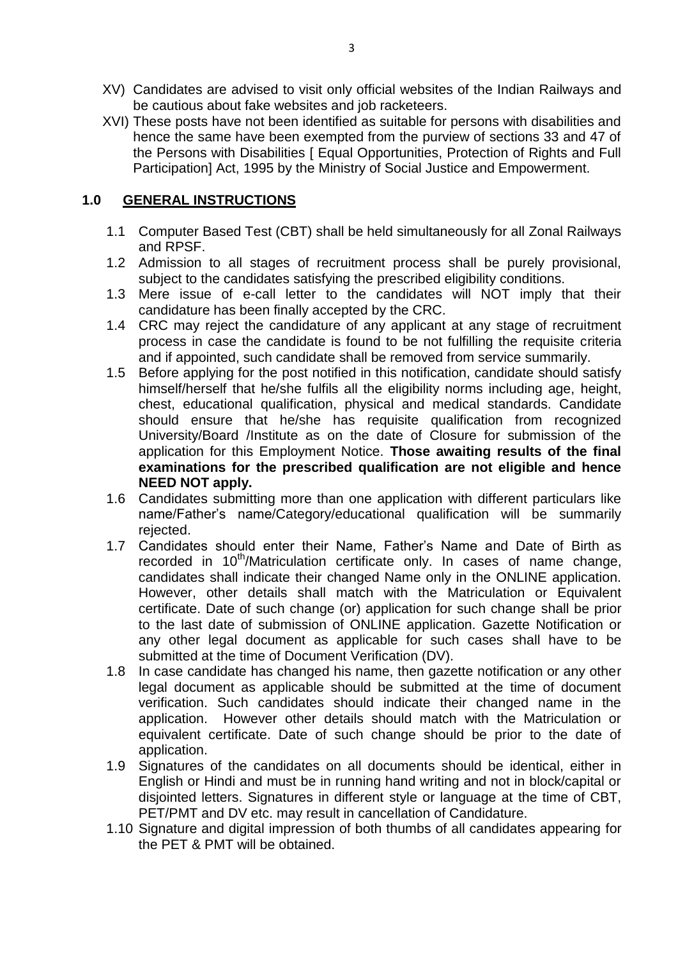- XV) Candidates are advised to visit only official websites of the Indian Railways and be cautious about fake websites and job racketeers.
- XVI) These posts have not been identified as suitable for persons with disabilities and hence the same have been exempted from the purview of sections 33 and 47 of the Persons with Disabilities [ Equal Opportunities, Protection of Rights and Full Participation] Act, 1995 by the Ministry of Social Justice and Empowerment.

### **1.0 GENERAL INSTRUCTIONS**

- 1.1 Computer Based Test (CBT) shall be held simultaneously for all Zonal Railways and RPSF.
- 1.2 Admission to all stages of recruitment process shall be purely provisional, subject to the candidates satisfying the prescribed eligibility conditions.
- 1.3 Mere issue of e-call letter to the candidates will NOT imply that their candidature has been finally accepted by the CRC.
- 1.4 CRC may reject the candidature of any applicant at any stage of recruitment process in case the candidate is found to be not fulfilling the requisite criteria and if appointed, such candidate shall be removed from service summarily.
- 1.5 Before applying for the post notified in this notification, candidate should satisfy himself/herself that he/she fulfils all the eligibility norms including age, height, chest, educational qualification, physical and medical standards. Candidate should ensure that he/she has requisite qualification from recognized University/Board /Institute as on the date of Closure for submission of the application for this Employment Notice. **Those awaiting results of the final examinations for the prescribed qualification are not eligible and hence NEED NOT apply.**
- 1.6 Candidates submitting more than one application with different particulars like name/Father's name/Category/educational qualification will be summarily rejected.
- 1.7 Candidates should enter their Name, Father's Name and Date of Birth as recorded in 10<sup>th</sup>/Matriculation certificate only. In cases of name change, candidates shall indicate their changed Name only in the ONLINE application. However, other details shall match with the Matriculation or Equivalent certificate. Date of such change (or) application for such change shall be prior to the last date of submission of ONLINE application. Gazette Notification or any other legal document as applicable for such cases shall have to be submitted at the time of Document Verification (DV).
- 1.8 In case candidate has changed his name, then gazette notification or any other legal document as applicable should be submitted at the time of document verification. Such candidates should indicate their changed name in the application. However other details should match with the Matriculation or equivalent certificate. Date of such change should be prior to the date of application.
- 1.9 Signatures of the candidates on all documents should be identical, either in English or Hindi and must be in running hand writing and not in block/capital or disjointed letters. Signatures in different style or language at the time of CBT, PET/PMT and DV etc. may result in cancellation of Candidature.
- 1.10 Signature and digital impression of both thumbs of all candidates appearing for the PET & PMT will be obtained.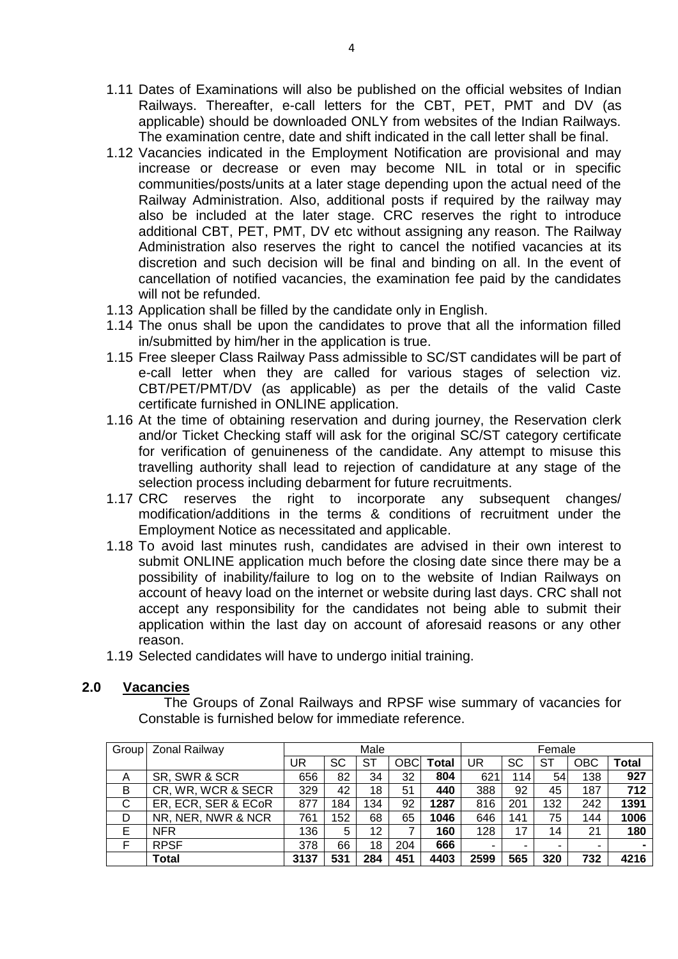- 1.11 Dates of Examinations will also be published on the official websites of Indian Railways. Thereafter, e-call letters for the CBT, PET, PMT and DV (as applicable) should be downloaded ONLY from websites of the Indian Railways. The examination centre, date and shift indicated in the call letter shall be final.
- 1.12 Vacancies indicated in the Employment Notification are provisional and may increase or decrease or even may become NIL in total or in specific communities/posts/units at a later stage depending upon the actual need of the Railway Administration. Also, additional posts if required by the railway may also be included at the later stage. CRC reserves the right to introduce additional CBT, PET, PMT, DV etc without assigning any reason. The Railway Administration also reserves the right to cancel the notified vacancies at its discretion and such decision will be final and binding on all. In the event of cancellation of notified vacancies, the examination fee paid by the candidates will not be refunded.
- 1.13 Application shall be filled by the candidate only in English.
- 1.14 The onus shall be upon the candidates to prove that all the information filled in/submitted by him/her in the application is true.
- 1.15 Free sleeper Class Railway Pass admissible to SC/ST candidates will be part of e-call letter when they are called for various stages of selection viz. CBT/PET/PMT/DV (as applicable) as per the details of the valid Caste certificate furnished in ONLINE application.
- 1.16 At the time of obtaining reservation and during journey, the Reservation clerk and/or Ticket Checking staff will ask for the original SC/ST category certificate for verification of genuineness of the candidate. Any attempt to misuse this travelling authority shall lead to rejection of candidature at any stage of the selection process including debarment for future recruitments.
- 1.17 CRC reserves the right to incorporate any subsequent changes/ modification/additions in the terms & conditions of recruitment under the Employment Notice as necessitated and applicable.
- 1.18 To avoid last minutes rush, candidates are advised in their own interest to submit ONLINE application much before the closing date since there may be a possibility of inability/failure to log on to the website of Indian Railways on account of heavy load on the internet or website during last days. CRC shall not accept any responsibility for the candidates not being able to submit their application within the last day on account of aforesaid reasons or any other reason.
- 1.19 Selected candidates will have to undergo initial training.

### **2.0 Vacancies**

The Groups of Zonal Railways and RPSF wise summary of vacancies for Constable is furnished below for immediate reference.

| Group | <b>Zonal Railway</b> |      | Male |     |            |              |              | Female |     |            |              |
|-------|----------------------|------|------|-----|------------|--------------|--------------|--------|-----|------------|--------------|
|       |                      | UR   | SC   | ST  | <b>OBC</b> | <b>Total</b> | UR           | SC     | ST  | <b>OBC</b> | <b>Total</b> |
| A     | SR, SWR & SCR        | 656  | 82   | 34  | 32         | 804          | $62^{\circ}$ | 114    | 54  | 138        | 927          |
| B     | CR, WR, WCR & SECR   | 329  | 42   | 18  | 51         | 440          | 388          | 92     | 45  | 187        | 712          |
| C     | ER, ECR, SER & ECoR  | 877  | 184  | 134 | 92         | 1287         | 816          | 201    | 132 | 242        | 1391         |
| D     | NR, NER, NWR & NCR   | 761  | 152  | 68  | 65         | 1046         | 646          | 141    | 75  | 144        | 1006         |
| Е     | <b>NFR</b>           | 136  | 5    | 12  | 7          | 160          | 128          | 17     | 14  | 21         | 180          |
|       | <b>RPSF</b>          | 378  | 66   | 18  | 204        | 666          | -            | -      |     |            |              |
|       | <b>Total</b>         | 3137 | 531  | 284 | 451        | 4403         | 2599         | 565    | 320 | 732        | 4216         |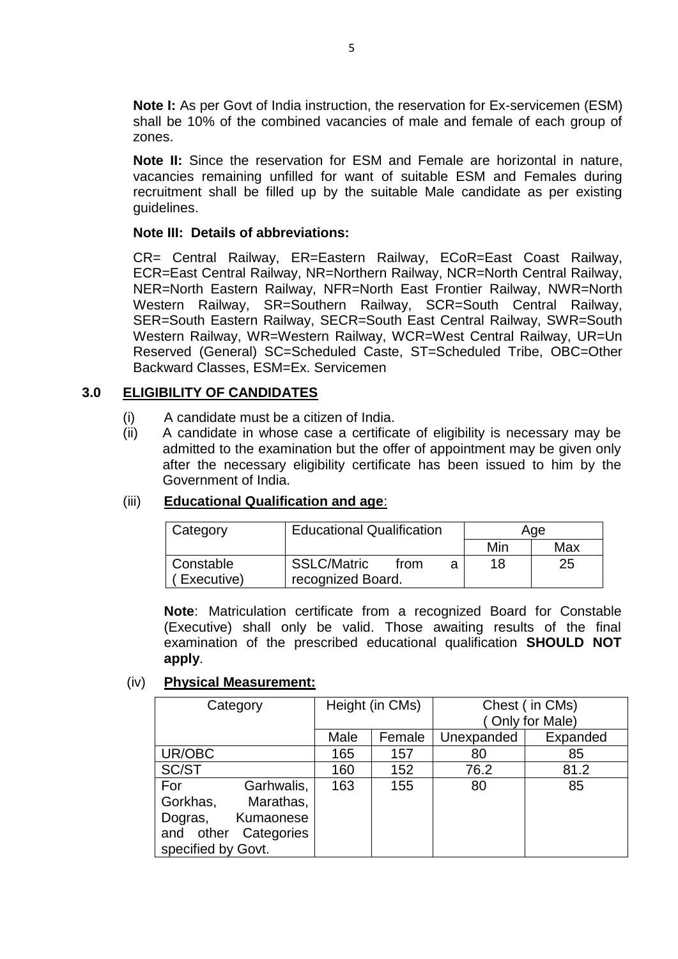**Note I:** As per Govt of India instruction, the reservation for Ex-servicemen (ESM) shall be 10% of the combined vacancies of male and female of each group of zones.

**Note II:** Since the reservation for ESM and Female are horizontal in nature, vacancies remaining unfilled for want of suitable ESM and Females during recruitment shall be filled up by the suitable Male candidate as per existing guidelines.

#### **Note III: Details of abbreviations:**

CR= Central Railway, ER=Eastern Railway, ECoR=East Coast Railway, ECR=East Central Railway, NR=Northern Railway, NCR=North Central Railway, NER=North Eastern Railway, NFR=North East Frontier Railway, NWR=North Western Railway, SR=Southern Railway, SCR=South Central Railway, SER=South Eastern Railway, SECR=South East Central Railway, SWR=South Western Railway, WR=Western Railway, WCR=West Central Railway, UR=Un Reserved (General) SC=Scheduled Caste, ST=Scheduled Tribe, OBC=Other Backward Classes, ESM=Ex. Servicemen

### **3.0 ELIGIBILITY OF CANDIDATES**

- (i) A candidate must be a citizen of India.
- (ii) A candidate in whose case a certificate of eligibility is necessary may be admitted to the examination but the offer of appointment may be given only after the necessary eligibility certificate has been issued to him by the Government of India.

### (iii) **Educational Qualification and age**:

| Category   | <b>Educational Qualification</b> |      |  | Age |     |
|------------|----------------------------------|------|--|-----|-----|
|            |                                  |      |  | Min | Max |
| Constable  | <b>SSLC/Matric</b>               | from |  | 18  | 25  |
| Executive) | recognized Board.                |      |  |     |     |

**Note**: Matriculation certificate from a recognized Board for Constable (Executive) shall only be valid. Those awaiting results of the final examination of the prescribed educational qualification **SHOULD NOT apply**.

### (iv) **Physical Measurement:**

| Category           |            | Height (in CMs) |        | Chest (in CMs) |                |  |
|--------------------|------------|-----------------|--------|----------------|----------------|--|
|                    |            |                 |        |                | Only for Male) |  |
|                    |            | Male            | Female | Unexpanded     | Expanded       |  |
| UR/OBC             |            | 165             | 157    | 80             | 85             |  |
| SC/ST              |            | 160             | 152    | 76.2           | 81.2           |  |
| For                | Garhwalis, | 163             | 155    | 80             | 85             |  |
| Gorkhas,           | Marathas,  |                 |        |                |                |  |
| Dogras,            | Kumaonese  |                 |        |                |                |  |
| and other          | Categories |                 |        |                |                |  |
| specified by Govt. |            |                 |        |                |                |  |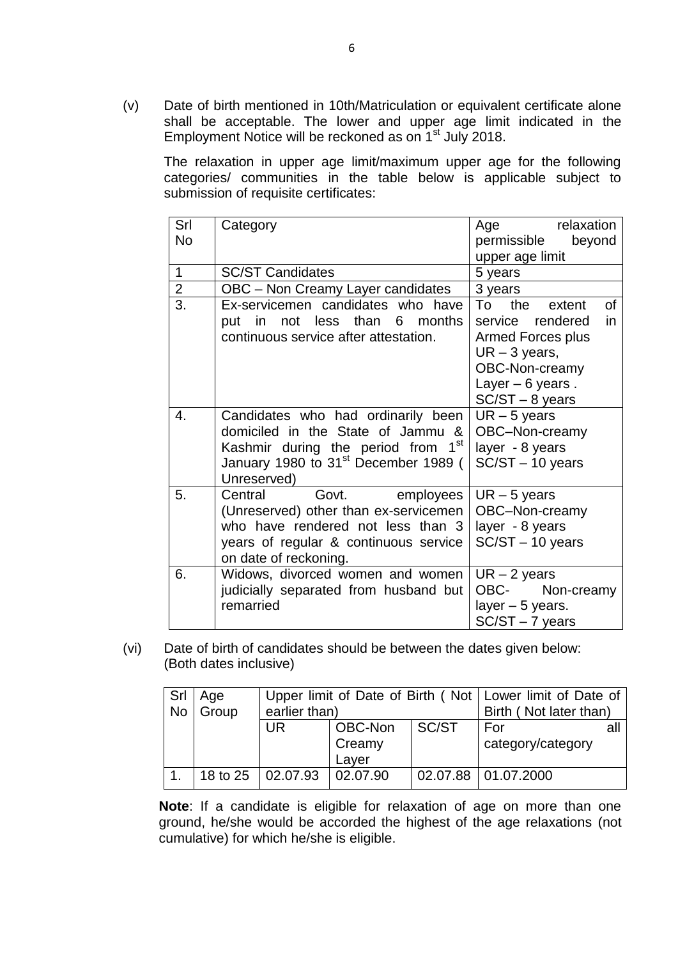(v) Date of birth mentioned in 10th/Matriculation or equivalent certificate alone shall be acceptable. The lower and upper age limit indicated in the Employment Notice will be reckoned as on 1<sup>st</sup> July 2018.

The relaxation in upper age limit/maximum upper age for the following categories/ communities in the table below is applicable subject to submission of requisite certificates:

| Srl              | Category                                         | relaxation<br>Age         |
|------------------|--------------------------------------------------|---------------------------|
| <b>No</b>        |                                                  | permissible<br>beyond     |
|                  |                                                  | upper age limit           |
| 1                | <b>SC/ST Candidates</b>                          | 5 years                   |
| $\overline{2}$   | OBC - Non Creamy Layer candidates                | 3 years                   |
| 3.               | Ex-servicemen candidates who have                | To<br>the<br>0f<br>extent |
|                  | months<br>not less<br>than<br>6<br>put in        | service rendered<br>in.   |
|                  | continuous service after attestation.            | <b>Armed Forces plus</b>  |
|                  |                                                  | $UR - 3$ years,           |
|                  |                                                  | OBC-Non-creamy            |
|                  |                                                  | Layer $-6$ years.         |
|                  |                                                  | $SC/ST - 8$ years         |
| $\overline{4}$ . | Candidates who had ordinarily been               | $UR - 5$ years            |
|                  | domiciled in the State of Jammu &                | OBC-Non-creamy            |
|                  | Kashmir during the period from 1 <sup>st</sup>   | layer - 8 years           |
|                  | January 1980 to 31 <sup>st</sup> December 1989 ( | $SC/ST - 10$ years        |
|                  | Unreserved)                                      |                           |
| 5.               | Govt.<br>Central<br>employees                    | $UR - 5$ years            |
|                  | (Unreserved) other than ex-servicemen            | OBC-Non-creamy            |
|                  | who have rendered not less than 3                | layer - 8 years           |
|                  | years of regular & continuous service            | SC/ST-10 years            |
|                  | on date of reckoning.                            |                           |
| 6.               | Widows, divorced women and women                 | $UR - 2$ years            |
|                  | judicially separated from husband but            | OBC- Non-creamy           |
|                  | remarried                                        | layer $-5$ years.         |
|                  |                                                  | $SC/ST - 7$ years         |

(vi) Date of birth of candidates should be between the dates given below: (Both dates inclusive)

| Srl<br><b>No</b> | Age<br>Group | earlier than)                  |                            | Upper limit of Date of Birth (Not   Lower limit of Date of<br>Birth (Not later than) |                          |    |
|------------------|--------------|--------------------------------|----------------------------|--------------------------------------------------------------------------------------|--------------------------|----|
|                  |              | <b>UR</b>                      | OBC-Non<br>Creamy<br>Layer | SC/ST                                                                                | For<br>category/category | al |
|                  |              | 18 to 25   02.07.93   02.07.90 |                            |                                                                                      | 02.07.88   01.07.2000    |    |

**Note**: If a candidate is eligible for relaxation of age on more than one ground, he/she would be accorded the highest of the age relaxations (not cumulative) for which he/she is eligible.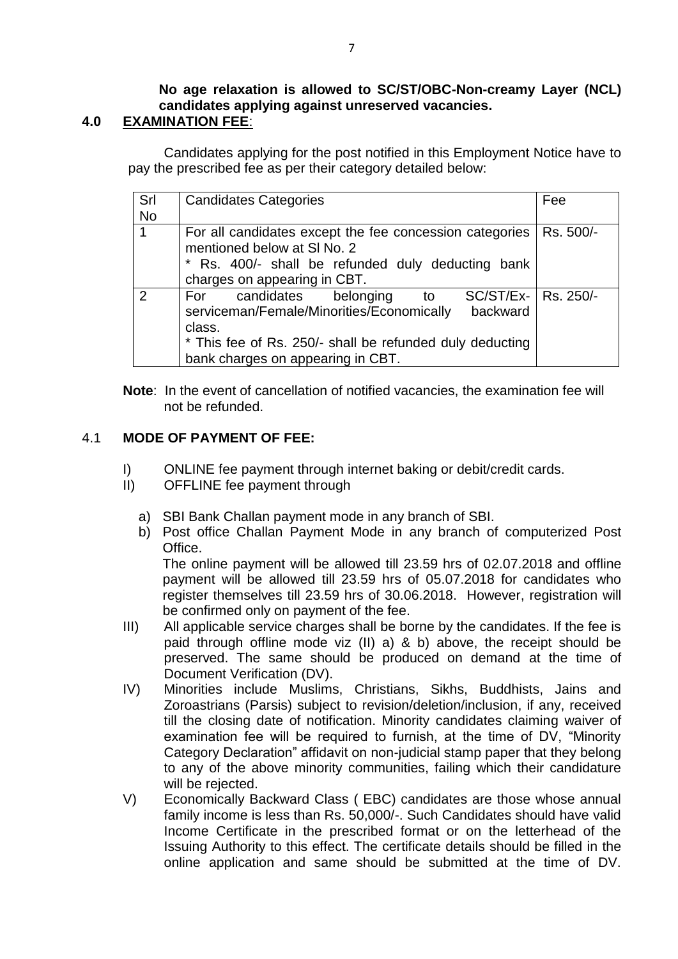#### **No age relaxation is allowed to SC/ST/OBC-Non-creamy Layer (NCL) candidates applying against unreserved vacancies. 4.0 EXAMINATION FEE**:

## Candidates applying for the post notified in this Employment Notice have to pay the prescribed fee as per their category detailed below:

| Srl<br><b>No</b> | <b>Candidates Categories</b>                                                                                                                                                                                                      | Fee       |
|------------------|-----------------------------------------------------------------------------------------------------------------------------------------------------------------------------------------------------------------------------------|-----------|
|                  | For all candidates except the fee concession categories<br>mentioned below at SI No. 2<br>* Rs. 400/- shall be refunded duly deducting bank<br>charges on appearing in CBT.                                                       | Rs. 500/- |
| $\mathcal{P}$    | SC/ST/Ex-   Rs. 250/-<br>candidates belonging<br>For<br>to to<br>serviceman/Female/Minorities/Economically<br>backward<br>class.<br>* This fee of Rs. 250/- shall be refunded duly deducting<br>bank charges on appearing in CBT. |           |

**Note**: In the event of cancellation of notified vacancies, the examination fee will not be refunded.

## 4.1 **MODE OF PAYMENT OF FEE:**

- I) ONLINE fee payment through internet baking or debit/credit cards.
- II) OFFLINE fee payment through
	- a) SBI Bank Challan payment mode in any branch of SBI.
	- b) Post office Challan Payment Mode in any branch of computerized Post Office.

The online payment will be allowed till 23.59 hrs of 02.07.2018 and offline payment will be allowed till 23.59 hrs of 05.07.2018 for candidates who register themselves till 23.59 hrs of 30.06.2018. However, registration will be confirmed only on payment of the fee.

- III) All applicable service charges shall be borne by the candidates. If the fee is paid through offline mode viz (II) a) & b) above, the receipt should be preserved. The same should be produced on demand at the time of Document Verification (DV).
- IV) Minorities include Muslims, Christians, Sikhs, Buddhists, Jains and Zoroastrians (Parsis) subject to revision/deletion/inclusion, if any, received till the closing date of notification. Minority candidates claiming waiver of examination fee will be required to furnish, at the time of DV, "Minority Category Declaration" affidavit on non-judicial stamp paper that they belong to any of the above minority communities, failing which their candidature will be rejected.
- V) Economically Backward Class ( EBC) candidates are those whose annual family income is less than Rs. 50,000/-. Such Candidates should have valid Income Certificate in the prescribed format or on the letterhead of the Issuing Authority to this effect. The certificate details should be filled in the online application and same should be submitted at the time of DV.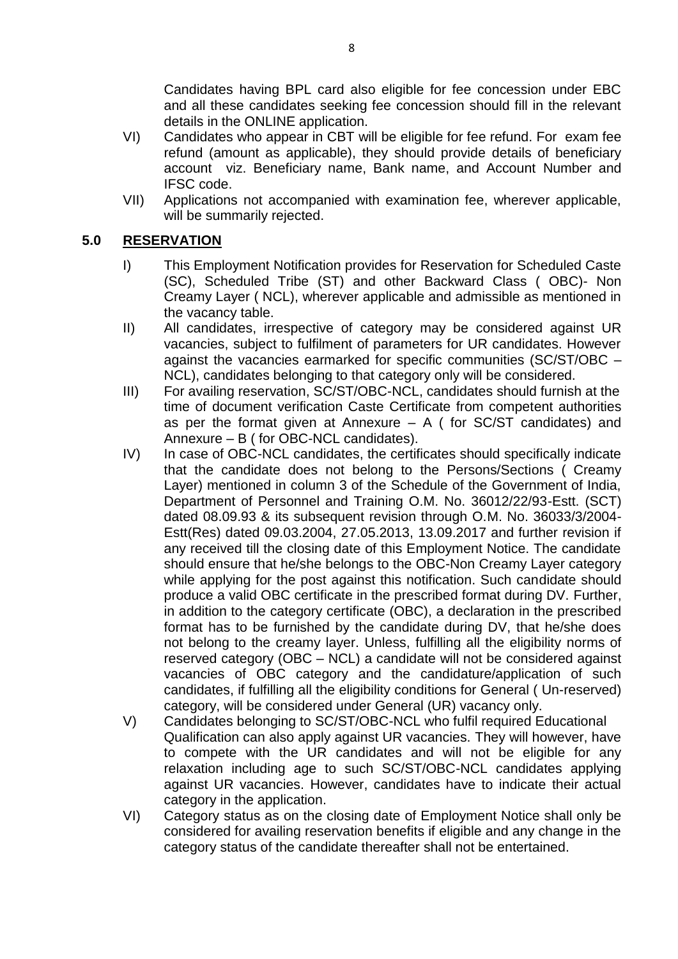Candidates having BPL card also eligible for fee concession under EBC and all these candidates seeking fee concession should fill in the relevant details in the ONLINE application.

- VI) Candidates who appear in CBT will be eligible for fee refund. For exam fee refund (amount as applicable), they should provide details of beneficiary account viz. Beneficiary name, Bank name, and Account Number and IFSC code.
- VII) Applications not accompanied with examination fee, wherever applicable, will be summarily rejected.

### **5.0 RESERVATION**

- I) This Employment Notification provides for Reservation for Scheduled Caste (SC), Scheduled Tribe (ST) and other Backward Class ( OBC)- Non Creamy Layer ( NCL), wherever applicable and admissible as mentioned in the vacancy table.
- II) All candidates, irrespective of category may be considered against UR vacancies, subject to fulfilment of parameters for UR candidates. However against the vacancies earmarked for specific communities (SC/ST/OBC – NCL), candidates belonging to that category only will be considered.
- III) For availing reservation, SC/ST/OBC-NCL, candidates should furnish at the time of document verification Caste Certificate from competent authorities as per the format given at Annexure  $- A$  ( for SC/ST candidates) and Annexure – B ( for OBC-NCL candidates).
- IV) In case of OBC-NCL candidates, the certificates should specifically indicate that the candidate does not belong to the Persons/Sections ( Creamy Layer) mentioned in column 3 of the Schedule of the Government of India, Department of Personnel and Training O.M. No. 36012/22/93-Estt. (SCT) dated 08.09.93 & its subsequent revision through O.M. No. 36033/3/2004- Estt(Res) dated 09.03.2004, 27.05.2013, 13.09.2017 and further revision if any received till the closing date of this Employment Notice. The candidate should ensure that he/she belongs to the OBC-Non Creamy Layer category while applying for the post against this notification. Such candidate should produce a valid OBC certificate in the prescribed format during DV. Further, in addition to the category certificate (OBC), a declaration in the prescribed format has to be furnished by the candidate during DV, that he/she does not belong to the creamy layer. Unless, fulfilling all the eligibility norms of reserved category (OBC – NCL) a candidate will not be considered against vacancies of OBC category and the candidature/application of such candidates, if fulfilling all the eligibility conditions for General ( Un-reserved) category, will be considered under General (UR) vacancy only.
- V) Candidates belonging to SC/ST/OBC-NCL who fulfil required Educational Qualification can also apply against UR vacancies. They will however, have to compete with the UR candidates and will not be eligible for any relaxation including age to such SC/ST/OBC-NCL candidates applying against UR vacancies. However, candidates have to indicate their actual category in the application.
- VI) Category status as on the closing date of Employment Notice shall only be considered for availing reservation benefits if eligible and any change in the category status of the candidate thereafter shall not be entertained.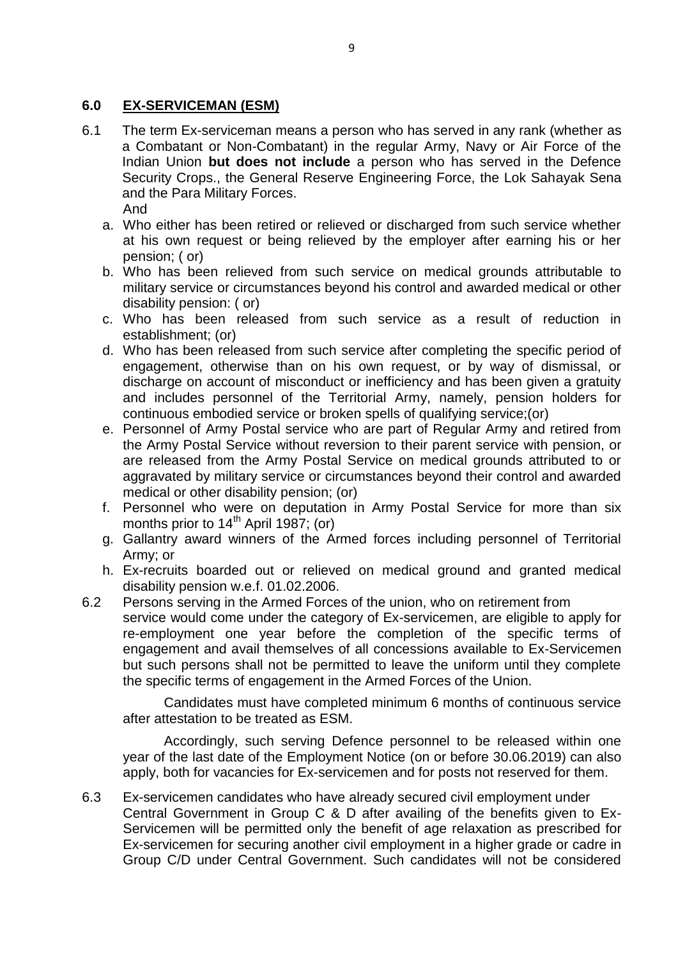## **6.0 EX-SERVICEMAN (ESM)**

- 6.1 The term Ex-serviceman means a person who has served in any rank (whether as a Combatant or Non-Combatant) in the regular Army, Navy or Air Force of the Indian Union **but does not include** a person who has served in the Defence Security Crops., the General Reserve Engineering Force, the Lok Sahayak Sena and the Para Military Forces. And
	- a. Who either has been retired or relieved or discharged from such service whether at his own request or being relieved by the employer after earning his or her pension; ( or)
	- b. Who has been relieved from such service on medical grounds attributable to military service or circumstances beyond his control and awarded medical or other disability pension: ( or)
	- c. Who has been released from such service as a result of reduction in establishment; (or)
	- d. Who has been released from such service after completing the specific period of engagement, otherwise than on his own request, or by way of dismissal, or discharge on account of misconduct or inefficiency and has been given a gratuity and includes personnel of the Territorial Army, namely, pension holders for continuous embodied service or broken spells of qualifying service;(or)
	- e. Personnel of Army Postal service who are part of Regular Army and retired from the Army Postal Service without reversion to their parent service with pension, or are released from the Army Postal Service on medical grounds attributed to or aggravated by military service or circumstances beyond their control and awarded medical or other disability pension; (or)
	- f. Personnel who were on deputation in Army Postal Service for more than six months prior to  $14<sup>th</sup>$  April 1987; (or)
	- g. Gallantry award winners of the Armed forces including personnel of Territorial Army; or
	- h. Ex-recruits boarded out or relieved on medical ground and granted medical disability pension w.e.f. 01.02.2006.
- 6.2 Persons serving in the Armed Forces of the union, who on retirement from service would come under the category of Ex-servicemen, are eligible to apply for re-employment one year before the completion of the specific terms of engagement and avail themselves of all concessions available to Ex-Servicemen but such persons shall not be permitted to leave the uniform until they complete the specific terms of engagement in the Armed Forces of the Union.

Candidates must have completed minimum 6 months of continuous service after attestation to be treated as ESM.

Accordingly, such serving Defence personnel to be released within one year of the last date of the Employment Notice (on or before 30.06.2019) can also apply, both for vacancies for Ex-servicemen and for posts not reserved for them.

6.3 Ex-servicemen candidates who have already secured civil employment under Central Government in Group C & D after availing of the benefits given to Ex-Servicemen will be permitted only the benefit of age relaxation as prescribed for Ex-servicemen for securing another civil employment in a higher grade or cadre in Group C/D under Central Government. Such candidates will not be considered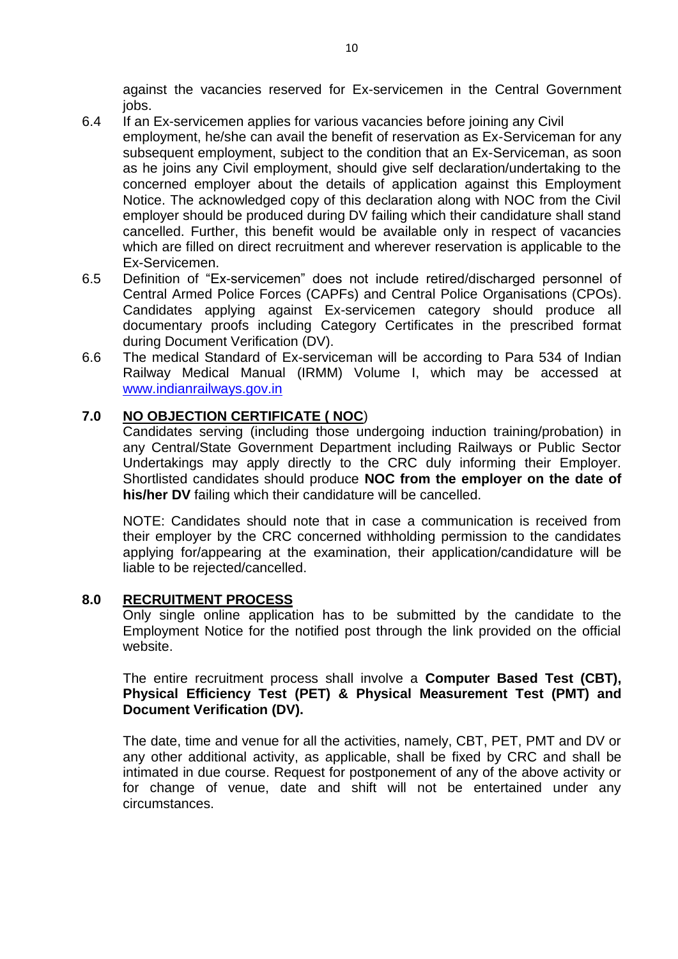against the vacancies reserved for Ex-servicemen in the Central Government jobs.

- 6.4 If an Ex-servicemen applies for various vacancies before joining any Civil employment, he/she can avail the benefit of reservation as Ex-Serviceman for any subsequent employment, subject to the condition that an Ex-Serviceman, as soon as he joins any Civil employment, should give self declaration/undertaking to the concerned employer about the details of application against this Employment Notice. The acknowledged copy of this declaration along with NOC from the Civil employer should be produced during DV failing which their candidature shall stand cancelled. Further, this benefit would be available only in respect of vacancies which are filled on direct recruitment and wherever reservation is applicable to the Ex-Servicemen.
- 6.5 Definition of "Ex-servicemen" does not include retired/discharged personnel of Central Armed Police Forces (CAPFs) and Central Police Organisations (CPOs). Candidates applying against Ex-servicemen category should produce all documentary proofs including Category Certificates in the prescribed format during Document Verification (DV).
- 6.6 The medical Standard of Ex-serviceman will be according to Para 534 of Indian Railway Medical Manual (IRMM) Volume I, which may be accessed at [www.indianrailways.gov.in](http://www.indianrailways.gov.in/)

### **7.0 NO OBJECTION CERTIFICATE ( NOC**)

Candidates serving (including those undergoing induction training/probation) in any Central/State Government Department including Railways or Public Sector Undertakings may apply directly to the CRC duly informing their Employer. Shortlisted candidates should produce **NOC from the employer on the date of his/her DV** failing which their candidature will be cancelled.

NOTE: Candidates should note that in case a communication is received from their employer by the CRC concerned withholding permission to the candidates applying for/appearing at the examination, their application/candidature will be liable to be rejected/cancelled.

### **8.0 RECRUITMENT PROCESS**

Only single online application has to be submitted by the candidate to the Employment Notice for the notified post through the link provided on the official website.

The entire recruitment process shall involve a **Computer Based Test (CBT), Physical Efficiency Test (PET) & Physical Measurement Test (PMT) and Document Verification (DV).**

The date, time and venue for all the activities, namely, CBT, PET, PMT and DV or any other additional activity, as applicable, shall be fixed by CRC and shall be intimated in due course. Request for postponement of any of the above activity or for change of venue, date and shift will not be entertained under any circumstances.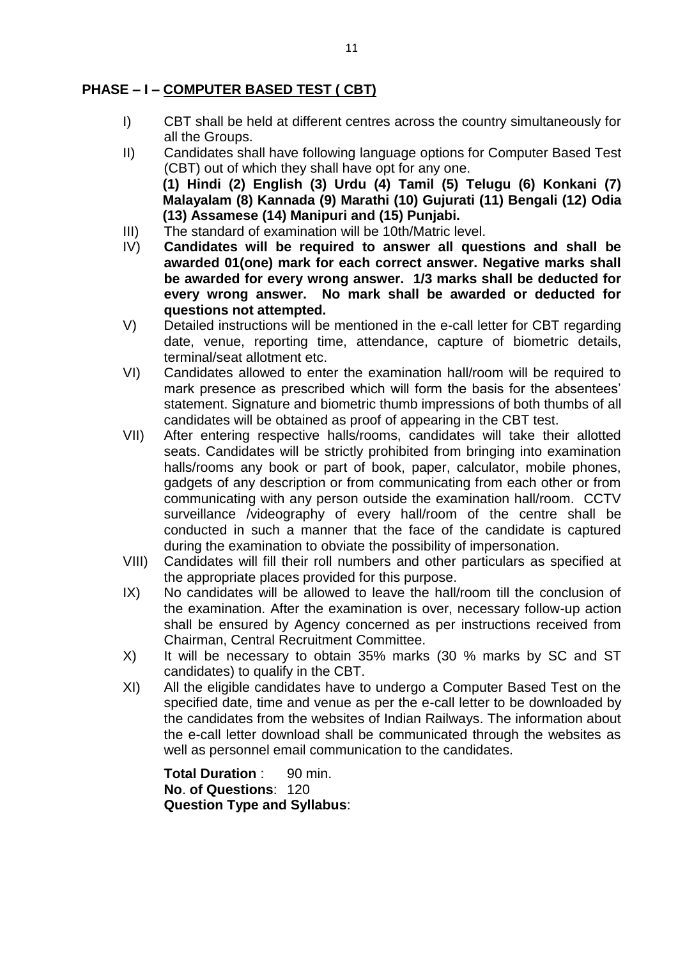## **PHASE – I – COMPUTER BASED TEST ( CBT)**

- I) CBT shall be held at different centres across the country simultaneously for all the Groups.
- II) Candidates shall have following language options for Computer Based Test (CBT) out of which they shall have opt for any one. **(1) Hindi (2) English (3) Urdu (4) Tamil (5) Telugu (6) Konkani (7) Malayalam (8) Kannada (9) Marathi (10) Gujurati (11) Bengali (12) Odia (13) Assamese (14) Manipuri and (15) Punjabi.**
- III) The standard of examination will be 10th/Matric level.
- IV) **Candidates will be required to answer all questions and shall be awarded 01(one) mark for each correct answer. Negative marks shall be awarded for every wrong answer. 1/3 marks shall be deducted for every wrong answer. No mark shall be awarded or deducted for questions not attempted.**
- V) Detailed instructions will be mentioned in the e-call letter for CBT regarding date, venue, reporting time, attendance, capture of biometric details, terminal/seat allotment etc.
- VI) Candidates allowed to enter the examination hall/room will be required to mark presence as prescribed which will form the basis for the absentees' statement. Signature and biometric thumb impressions of both thumbs of all candidates will be obtained as proof of appearing in the CBT test.
- VII) After entering respective halls/rooms, candidates will take their allotted seats. Candidates will be strictly prohibited from bringing into examination halls/rooms any book or part of book, paper, calculator, mobile phones, gadgets of any description or from communicating from each other or from communicating with any person outside the examination hall/room. CCTV surveillance /videography of every hall/room of the centre shall be conducted in such a manner that the face of the candidate is captured during the examination to obviate the possibility of impersonation.
- VIII) Candidates will fill their roll numbers and other particulars as specified at the appropriate places provided for this purpose.
- IX) No candidates will be allowed to leave the hall/room till the conclusion of the examination. After the examination is over, necessary follow-up action shall be ensured by Agency concerned as per instructions received from Chairman, Central Recruitment Committee.
- X) It will be necessary to obtain 35% marks (30 % marks by SC and ST candidates) to qualify in the CBT.
- XI) All the eligible candidates have to undergo a Computer Based Test on the specified date, time and venue as per the e-call letter to be downloaded by the candidates from the websites of Indian Railways. The information about the e-call letter download shall be communicated through the websites as well as personnel email communication to the candidates.

**Total Duration** : 90 min. **No**. **of Questions**: 120 **Question Type and Syllabus**: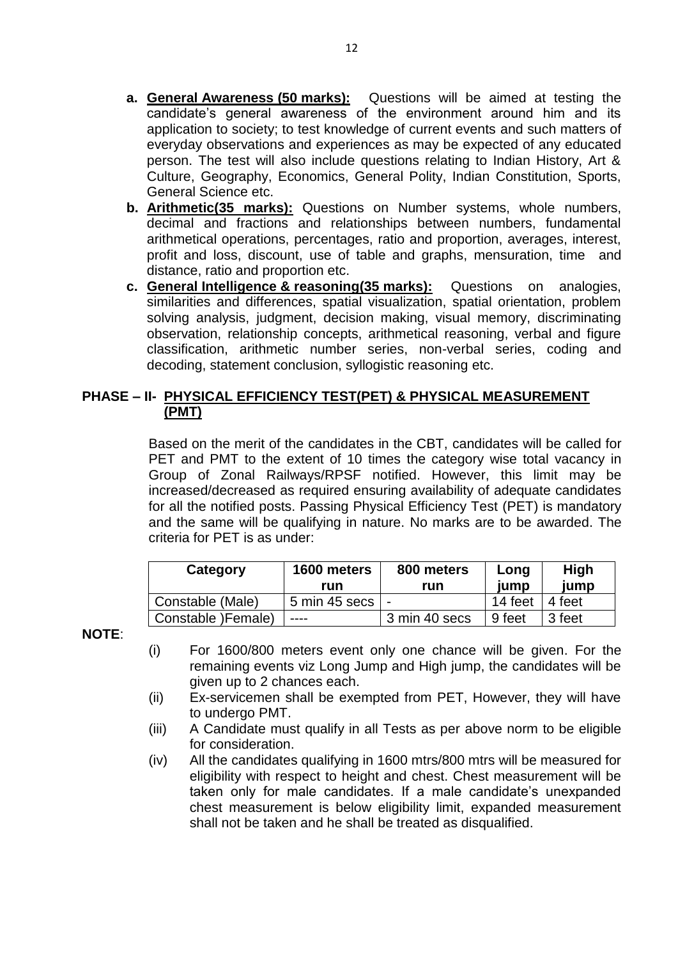- **a. General Awareness (50 marks):** Questions will be aimed at testing the candidate's general awareness of the environment around him and its application to society; to test knowledge of current events and such matters of everyday observations and experiences as may be expected of any educated person. The test will also include questions relating to Indian History, Art & Culture, Geography, Economics, General Polity, Indian Constitution, Sports, General Science etc.
- **b. Arithmetic(35 marks):** Questions on Number systems, whole numbers, decimal and fractions and relationships between numbers, fundamental arithmetical operations, percentages, ratio and proportion, averages, interest, profit and loss, discount, use of table and graphs, mensuration, time and distance, ratio and proportion etc.
- **c. General Intelligence & reasoning(35 marks):** Questions on analogies, similarities and differences, spatial visualization, spatial orientation, problem solving analysis, judgment, decision making, visual memory, discriminating observation, relationship concepts, arithmetical reasoning, verbal and figure classification, arithmetic number series, non-verbal series, coding and decoding, statement conclusion, syllogistic reasoning etc.

### **PHASE – II- PHYSICAL EFFICIENCY TEST(PET) & PHYSICAL MEASUREMENT (PMT)**

Based on the merit of the candidates in the CBT, candidates will be called for PET and PMT to the extent of 10 times the category wise total vacancy in Group of Zonal Railways/RPSF notified. However, this limit may be increased/decreased as required ensuring availability of adequate candidates for all the notified posts. Passing Physical Efficiency Test (PET) is mandatory and the same will be qualifying in nature. No marks are to be awarded. The criteria for PET is as under:

| Category            | 1600 meters<br>run | 800 meters<br>run | Long<br>iump           | High<br>jump |
|---------------------|--------------------|-------------------|------------------------|--------------|
| Constable (Male)    | 5 min 45 secs   -  |                   | 14 feet $\vert$ 4 feet |              |
| Constable ) Female) | $---$              | 3 min 40 secs     | ∣9 feet                | 3 feet       |

**NOTE**:

- (i) For 1600/800 meters event only one chance will be given. For the remaining events viz Long Jump and High jump, the candidates will be given up to 2 chances each.
- (ii) Ex-servicemen shall be exempted from PET, However, they will have to undergo PMT.
- (iii) A Candidate must qualify in all Tests as per above norm to be eligible for consideration.
- (iv) All the candidates qualifying in 1600 mtrs/800 mtrs will be measured for eligibility with respect to height and chest. Chest measurement will be taken only for male candidates. If a male candidate's unexpanded chest measurement is below eligibility limit, expanded measurement shall not be taken and he shall be treated as disqualified.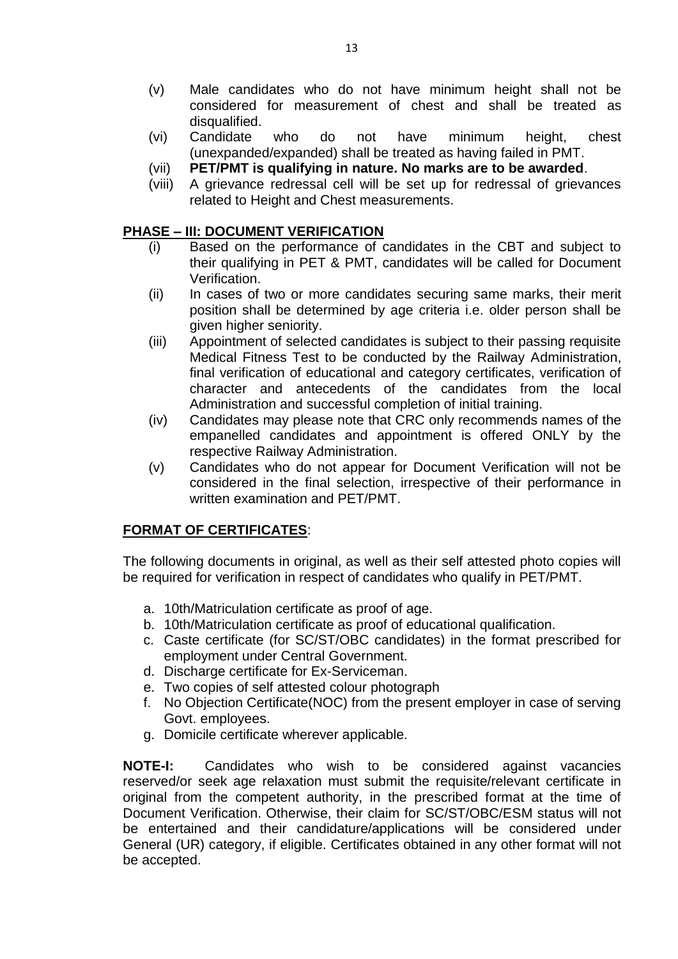- (v) Male candidates who do not have minimum height shall not be considered for measurement of chest and shall be treated as disqualified.
- (vi) Candidate who do not have minimum height, chest (unexpanded/expanded) shall be treated as having failed in PMT.
- (vii) **PET/PMT is qualifying in nature. No marks are to be awarded**.
- (viii) A grievance redressal cell will be set up for redressal of grievances related to Height and Chest measurements.

### **PHASE – III: DOCUMENT VERIFICATION**

- (i) Based on the performance of candidates in the CBT and subject to their qualifying in PET & PMT, candidates will be called for Document Verification.
- (ii) In cases of two or more candidates securing same marks, their merit position shall be determined by age criteria i.e. older person shall be given higher seniority.
- (iii) Appointment of selected candidates is subject to their passing requisite Medical Fitness Test to be conducted by the Railway Administration, final verification of educational and category certificates, verification of character and antecedents of the candidates from the local Administration and successful completion of initial training.
- (iv) Candidates may please note that CRC only recommends names of the empanelled candidates and appointment is offered ONLY by the respective Railway Administration.
- (v) Candidates who do not appear for Document Verification will not be considered in the final selection, irrespective of their performance in written examination and PET/PMT.

### **FORMAT OF CERTIFICATES**:

The following documents in original, as well as their self attested photo copies will be required for verification in respect of candidates who qualify in PET/PMT.

- a. 10th/Matriculation certificate as proof of age.
- b. 10th/Matriculation certificate as proof of educational qualification.
- c. Caste certificate (for SC/ST/OBC candidates) in the format prescribed for employment under Central Government.
- d. Discharge certificate for Ex-Serviceman.
- e. Two copies of self attested colour photograph
- f. No Objection Certificate(NOC) from the present employer in case of serving Govt. employees.
- g. Domicile certificate wherever applicable.

**NOTE-I:** Candidates who wish to be considered against vacancies reserved/or seek age relaxation must submit the requisite/relevant certificate in original from the competent authority, in the prescribed format at the time of Document Verification. Otherwise, their claim for SC/ST/OBC/ESM status will not be entertained and their candidature/applications will be considered under General (UR) category, if eligible. Certificates obtained in any other format will not be accepted.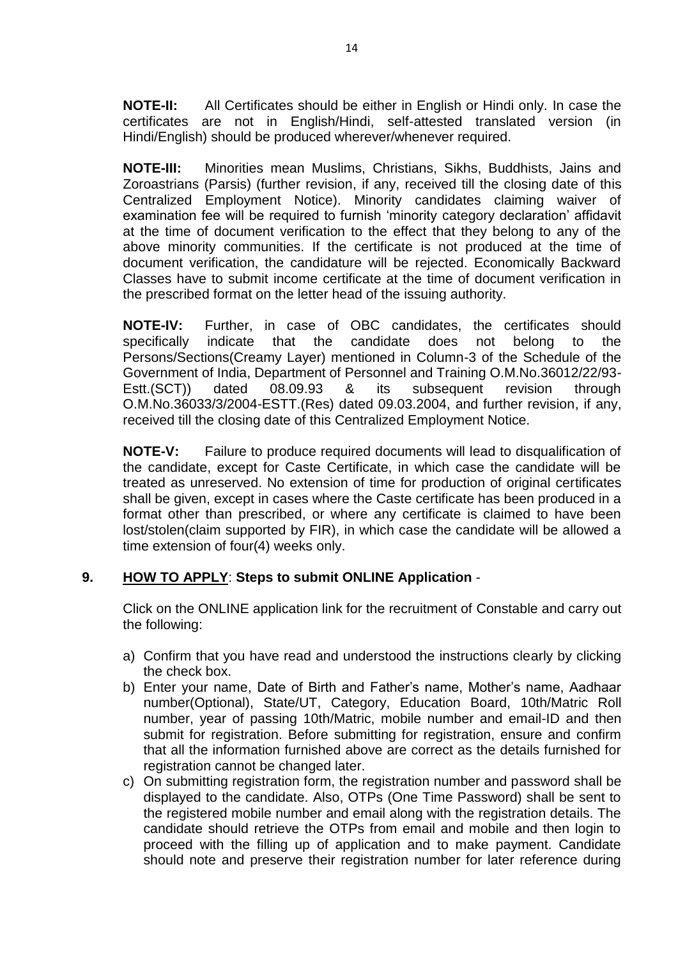**NOTE-II:** All Certificates should be either in English or Hindi only. In case the certificates are not in English/Hindi, self-attested translated version (in Hindi/English) should be produced wherever/whenever required.

**NOTE-III:** Minorities mean Muslims, Christians, Sikhs, Buddhists, Jains and Zoroastrians (Parsis) (further revision, if any, received till the closing date of this Centralized Employment Notice). Minority candidates claiming waiver of examination fee will be required to furnish 'minority category declaration' affidavit at the time of document verification to the effect that they belong to any of the above minority communities. If the certificate is not produced at the time of document verification, the candidature will be rejected. Economically Backward Classes have to submit income certificate at the time of document verification in the prescribed format on the letter head of the issuing authority.

**NOTE-IV:** Further, in case of OBC candidates, the certificates should specifically indicate that the candidate does not belong to the Persons/Sections(Creamy Layer) mentioned in Column-3 of the Schedule of the Government of India, Department of Personnel and Training O.M.No.36012/22/93- Estt.(SCT)) dated 08.09.93 & its subsequent revision through O.M.No.36033/3/2004-ESTT.(Res) dated 09.03.2004, and further revision, if any, received till the closing date of this Centralized Employment Notice.

**NOTE-V:** Failure to produce required documents will lead to disqualification of the candidate, except for Caste Certificate, in which case the candidate will be treated as unreserved. No extension of time for production of original certificates shall be given, except in cases where the Caste certificate has been produced in a format other than prescribed, or where any certificate is claimed to have been lost/stolen(claim supported by FIR), in which case the candidate will be allowed a time extension of four(4) weeks only.

## **9. HOW TO APPLY**: **Steps to submit ONLINE Application** -

Click on the ONLINE application link for the recruitment of Constable and carry out the following:

- a) Confirm that you have read and understood the instructions clearly by clicking the check box.
- b) Enter your name, Date of Birth and Father's name, Mother's name, Aadhaar number(Optional), State/UT, Category, Education Board, 10th/Matric Roll number, year of passing 10th/Matric, mobile number and email-ID and then submit for registration. Before submitting for registration, ensure and confirm that all the information furnished above are correct as the details furnished for registration cannot be changed later.
- c) On submitting registration form, the registration number and password shall be displayed to the candidate. Also, OTPs (One Time Password) shall be sent to the registered mobile number and email along with the registration details. The candidate should retrieve the OTPs from email and mobile and then login to proceed with the filling up of application and to make payment. Candidate should note and preserve their registration number for later reference during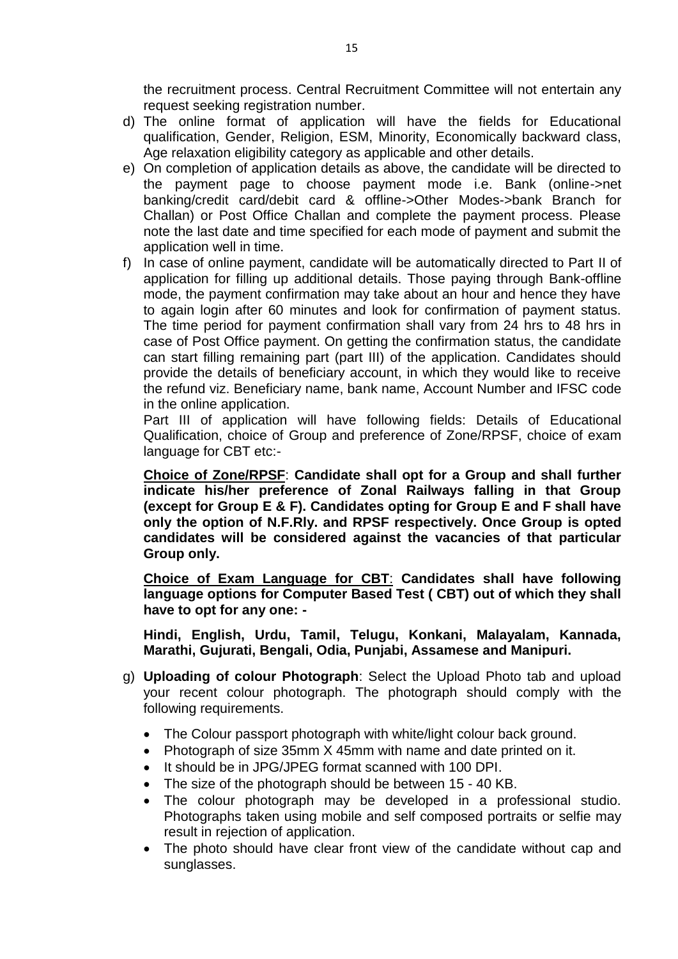the recruitment process. Central Recruitment Committee will not entertain any request seeking registration number.

- d) The online format of application will have the fields for Educational qualification, Gender, Religion, ESM, Minority, Economically backward class, Age relaxation eligibility category as applicable and other details.
- e) On completion of application details as above, the candidate will be directed to the payment page to choose payment mode i.e. Bank (online->net banking/credit card/debit card & offline->Other Modes->bank Branch for Challan) or Post Office Challan and complete the payment process. Please note the last date and time specified for each mode of payment and submit the application well in time.
- f) In case of online payment, candidate will be automatically directed to Part II of application for filling up additional details. Those paying through Bank-offline mode, the payment confirmation may take about an hour and hence they have to again login after 60 minutes and look for confirmation of payment status. The time period for payment confirmation shall vary from 24 hrs to 48 hrs in case of Post Office payment. On getting the confirmation status, the candidate can start filling remaining part (part III) of the application. Candidates should provide the details of beneficiary account, in which they would like to receive the refund viz. Beneficiary name, bank name, Account Number and IFSC code in the online application.

Part III of application will have following fields: Details of Educational Qualification, choice of Group and preference of Zone/RPSF, choice of exam language for CBT etc:-

**Choice of Zone/RPSF**: **Candidate shall opt for a Group and shall further indicate his/her preference of Zonal Railways falling in that Group (except for Group E & F). Candidates opting for Group E and F shall have only the option of N.F.Rly. and RPSF respectively. Once Group is opted candidates will be considered against the vacancies of that particular Group only.**

**Choice of Exam Language for CBT**: **Candidates shall have following language options for Computer Based Test ( CBT) out of which they shall have to opt for any one: -**

**Hindi, English, Urdu, Tamil, Telugu, Konkani, Malayalam, Kannada, Marathi, Gujurati, Bengali, Odia, Punjabi, Assamese and Manipuri.**

- g) **Uploading of colour Photograph**: Select the Upload Photo tab and upload your recent colour photograph. The photograph should comply with the following requirements.
	- The Colour passport photograph with white/light colour back ground.
	- Photograph of size 35mm X 45mm with name and date printed on it.
	- It should be in JPG/JPEG format scanned with 100 DPI.
	- The size of the photograph should be between 15 40 KB.
	- The colour photograph may be developed in a professional studio. Photographs taken using mobile and self composed portraits or selfie may result in rejection of application.
	- The photo should have clear front view of the candidate without cap and sunglasses.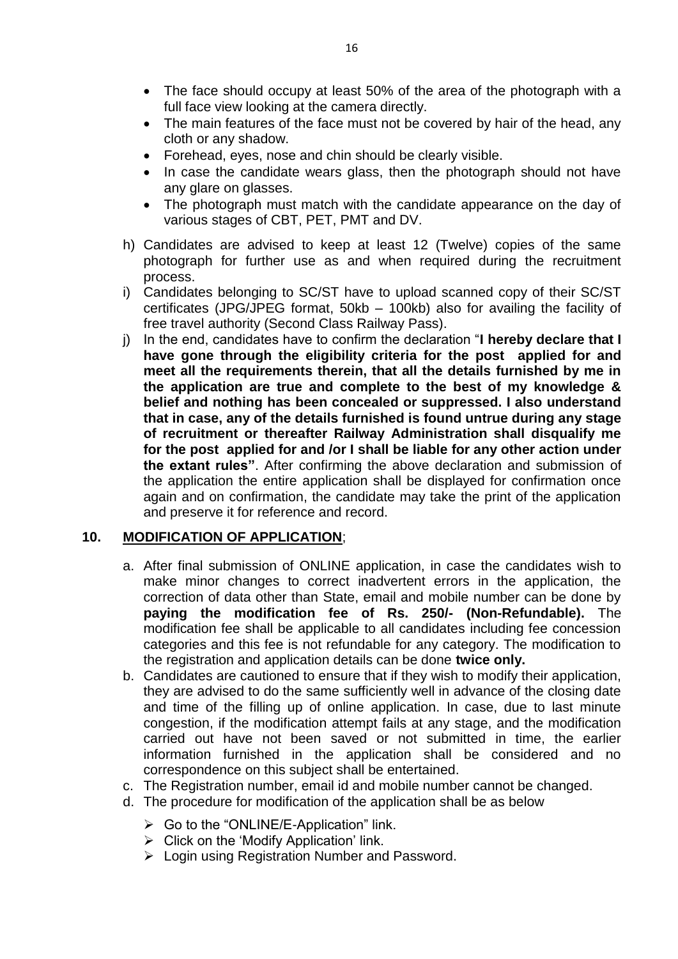- The face should occupy at least 50% of the area of the photograph with a full face view looking at the camera directly.
- The main features of the face must not be covered by hair of the head, any cloth or any shadow.
- Forehead, eyes, nose and chin should be clearly visible.
- In case the candidate wears glass, then the photograph should not have any glare on glasses.
- The photograph must match with the candidate appearance on the day of various stages of CBT, PET, PMT and DV.
- h) Candidates are advised to keep at least 12 (Twelve) copies of the same photograph for further use as and when required during the recruitment process.
- i) Candidates belonging to SC/ST have to upload scanned copy of their SC/ST certificates (JPG/JPEG format, 50kb – 100kb) also for availing the facility of free travel authority (Second Class Railway Pass).
- j) In the end, candidates have to confirm the declaration "**I hereby declare that I have gone through the eligibility criteria for the post applied for and meet all the requirements therein, that all the details furnished by me in the application are true and complete to the best of my knowledge & belief and nothing has been concealed or suppressed. I also understand that in case, any of the details furnished is found untrue during any stage of recruitment or thereafter Railway Administration shall disqualify me for the post applied for and /or I shall be liable for any other action under the extant rules"**. After confirming the above declaration and submission of the application the entire application shall be displayed for confirmation once again and on confirmation, the candidate may take the print of the application and preserve it for reference and record.

### **10. MODIFICATION OF APPLICATION**;

- a. After final submission of ONLINE application, in case the candidates wish to make minor changes to correct inadvertent errors in the application, the correction of data other than State, email and mobile number can be done by **paying the modification fee of Rs. 250/- (Non-Refundable).** The modification fee shall be applicable to all candidates including fee concession categories and this fee is not refundable for any category. The modification to the registration and application details can be done **twice only.**
- b. Candidates are cautioned to ensure that if they wish to modify their application, they are advised to do the same sufficiently well in advance of the closing date and time of the filling up of online application. In case, due to last minute congestion, if the modification attempt fails at any stage, and the modification carried out have not been saved or not submitted in time, the earlier information furnished in the application shall be considered and no correspondence on this subject shall be entertained.
- c. The Registration number, email id and mobile number cannot be changed.
- d. The procedure for modification of the application shall be as below
	- $\triangleright$  Go to the "ONLINE/E-Application" link.
	- $\triangleright$  Click on the 'Modify Application' link.
	- Login using Registration Number and Password.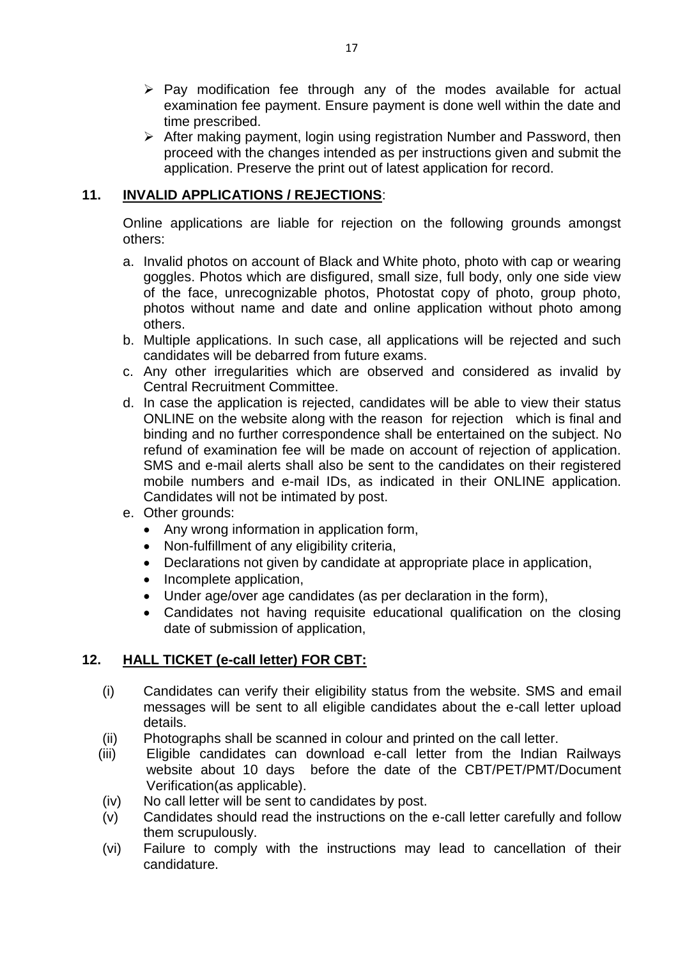- $\triangleright$  Pay modification fee through any of the modes available for actual examination fee payment. Ensure payment is done well within the date and time prescribed.
- $\triangleright$  After making payment, login using registration Number and Password, then proceed with the changes intended as per instructions given and submit the application. Preserve the print out of latest application for record.

## **11. INVALID APPLICATIONS / REJECTIONS**:

Online applications are liable for rejection on the following grounds amongst others:

- a. Invalid photos on account of Black and White photo, photo with cap or wearing goggles. Photos which are disfigured, small size, full body, only one side view of the face, unrecognizable photos, Photostat copy of photo, group photo, photos without name and date and online application without photo among others.
- b. Multiple applications. In such case, all applications will be rejected and such candidates will be debarred from future exams.
- c. Any other irregularities which are observed and considered as invalid by Central Recruitment Committee.
- d. In case the application is rejected, candidates will be able to view their status ONLINE on the website along with the reason for rejection which is final and binding and no further correspondence shall be entertained on the subject. No refund of examination fee will be made on account of rejection of application. SMS and e-mail alerts shall also be sent to the candidates on their registered mobile numbers and e-mail IDs, as indicated in their ONLINE application. Candidates will not be intimated by post.
- e. Other grounds:
	- Any wrong information in application form,
	- Non-fulfillment of any eligibility criteria,
	- Declarations not given by candidate at appropriate place in application,
	- Incomplete application,
	- Under age/over age candidates (as per declaration in the form),
	- Candidates not having requisite educational qualification on the closing date of submission of application,

### **12. HALL TICKET (e-call letter) FOR CBT:**

- (i) Candidates can verify their eligibility status from the website. SMS and email messages will be sent to all eligible candidates about the e-call letter upload details.
- (ii) Photographs shall be scanned in colour and printed on the call letter.
- (iii) Eligible candidates can download e-call letter from the Indian Railways website about 10 days before the date of the CBT/PET/PMT/Document Verification(as applicable).
- (iv) No call letter will be sent to candidates by post.
- (v) Candidates should read the instructions on the e-call letter carefully and follow them scrupulously.
- (vi) Failure to comply with the instructions may lead to cancellation of their candidature.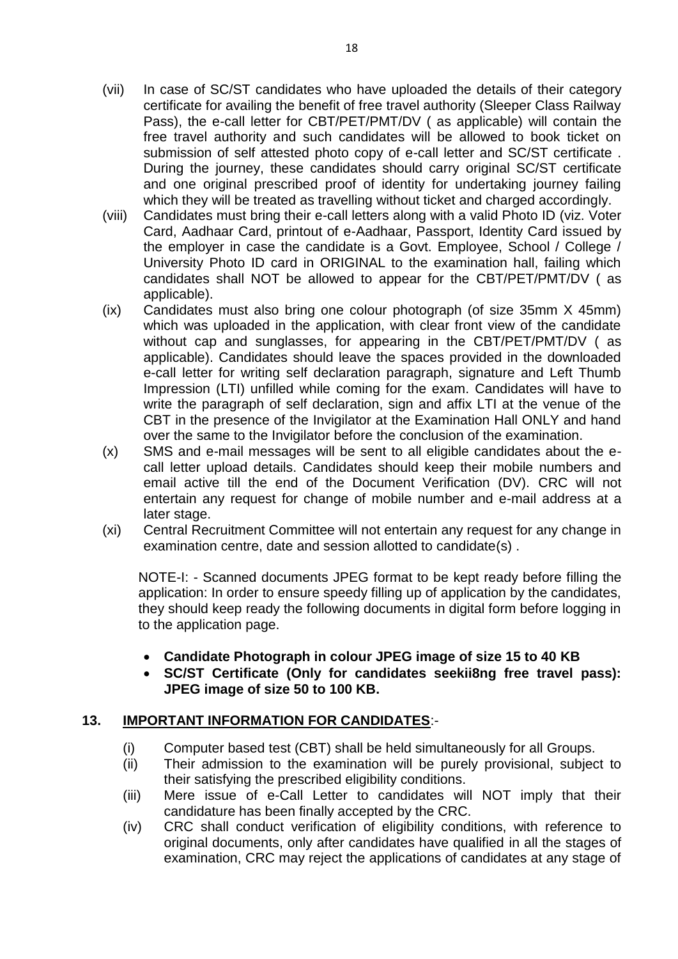- (vii) In case of SC/ST candidates who have uploaded the details of their category certificate for availing the benefit of free travel authority (Sleeper Class Railway Pass), the e-call letter for CBT/PET/PMT/DV ( as applicable) will contain the free travel authority and such candidates will be allowed to book ticket on submission of self attested photo copy of e-call letter and SC/ST certificate . During the journey, these candidates should carry original SC/ST certificate and one original prescribed proof of identity for undertaking journey failing which they will be treated as travelling without ticket and charged accordingly.
- (viii) Candidates must bring their e-call letters along with a valid Photo ID (viz. Voter Card, Aadhaar Card, printout of e-Aadhaar, Passport, Identity Card issued by the employer in case the candidate is a Govt. Employee, School / College / University Photo ID card in ORIGINAL to the examination hall, failing which candidates shall NOT be allowed to appear for the CBT/PET/PMT/DV ( as applicable).
- (ix) Candidates must also bring one colour photograph (of size 35mm X 45mm) which was uploaded in the application, with clear front view of the candidate without cap and sunglasses, for appearing in the CBT/PET/PMT/DV ( as applicable). Candidates should leave the spaces provided in the downloaded e-call letter for writing self declaration paragraph, signature and Left Thumb Impression (LTI) unfilled while coming for the exam. Candidates will have to write the paragraph of self declaration, sign and affix LTI at the venue of the CBT in the presence of the Invigilator at the Examination Hall ONLY and hand over the same to the Invigilator before the conclusion of the examination.
- (x) SMS and e-mail messages will be sent to all eligible candidates about the ecall letter upload details. Candidates should keep their mobile numbers and email active till the end of the Document Verification (DV). CRC will not entertain any request for change of mobile number and e-mail address at a later stage.
- (xi) Central Recruitment Committee will not entertain any request for any change in examination centre, date and session allotted to candidate(s) .

NOTE-I: - Scanned documents JPEG format to be kept ready before filling the application: In order to ensure speedy filling up of application by the candidates, they should keep ready the following documents in digital form before logging in to the application page.

- **Candidate Photograph in colour JPEG image of size 15 to 40 KB**
- **SC/ST Certificate (Only for candidates seekii8ng free travel pass): JPEG image of size 50 to 100 KB.**

## **13. IMPORTANT INFORMATION FOR CANDIDATES**:-

- (i) Computer based test (CBT) shall be held simultaneously for all Groups.
- (ii) Their admission to the examination will be purely provisional, subject to their satisfying the prescribed eligibility conditions.
- (iii) Mere issue of e-Call Letter to candidates will NOT imply that their candidature has been finally accepted by the CRC.
- (iv) CRC shall conduct verification of eligibility conditions, with reference to original documents, only after candidates have qualified in all the stages of examination, CRC may reject the applications of candidates at any stage of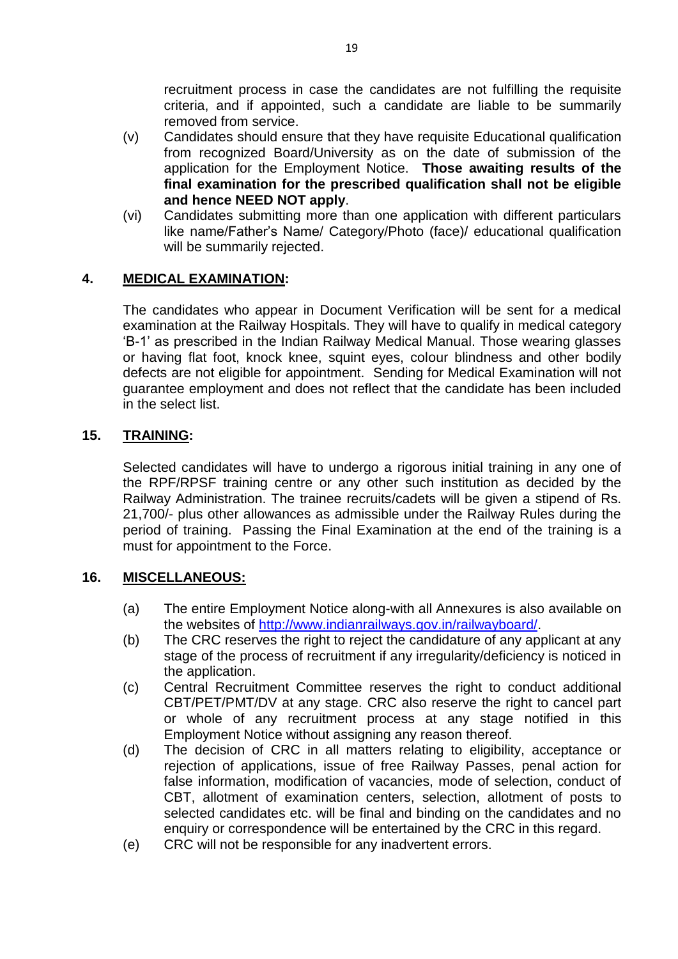recruitment process in case the candidates are not fulfilling the requisite criteria, and if appointed, such a candidate are liable to be summarily removed from service.

- (v) Candidates should ensure that they have requisite Educational qualification from recognized Board/University as on the date of submission of the application for the Employment Notice. **Those awaiting results of the final examination for the prescribed qualification shall not be eligible and hence NEED NOT apply**.
- (vi) Candidates submitting more than one application with different particulars like name/Father's Name/ Category/Photo (face)/ educational qualification will be summarily rejected.

## **4. MEDICAL EXAMINATION:**

The candidates who appear in Document Verification will be sent for a medical examination at the Railway Hospitals. They will have to qualify in medical category 'B-1' as prescribed in the Indian Railway Medical Manual. Those wearing glasses or having flat foot, knock knee, squint eyes, colour blindness and other bodily defects are not eligible for appointment. Sending for Medical Examination will not guarantee employment and does not reflect that the candidate has been included in the select list.

### **15. TRAINING:**

Selected candidates will have to undergo a rigorous initial training in any one of the RPF/RPSF training centre or any other such institution as decided by the Railway Administration. The trainee recruits/cadets will be given a stipend of Rs. 21,700/- plus other allowances as admissible under the Railway Rules during the period of training. Passing the Final Examination at the end of the training is a must for appointment to the Force.

### **16. MISCELLANEOUS:**

- (a) The entire Employment Notice along-with all Annexures is also available on the websites of [http://www.indianrailways.gov.in/railwayboard/.](http://www.indianrailways.gov.in/railwayboard/)
- (b) The CRC reserves the right to reject the candidature of any applicant at any stage of the process of recruitment if any irregularity/deficiency is noticed in the application.
- (c) Central Recruitment Committee reserves the right to conduct additional CBT/PET/PMT/DV at any stage. CRC also reserve the right to cancel part or whole of any recruitment process at any stage notified in this Employment Notice without assigning any reason thereof.
- (d) The decision of CRC in all matters relating to eligibility, acceptance or rejection of applications, issue of free Railway Passes, penal action for false information, modification of vacancies, mode of selection, conduct of CBT, allotment of examination centers, selection, allotment of posts to selected candidates etc. will be final and binding on the candidates and no enquiry or correspondence will be entertained by the CRC in this regard.
- (e) CRC will not be responsible for any inadvertent errors.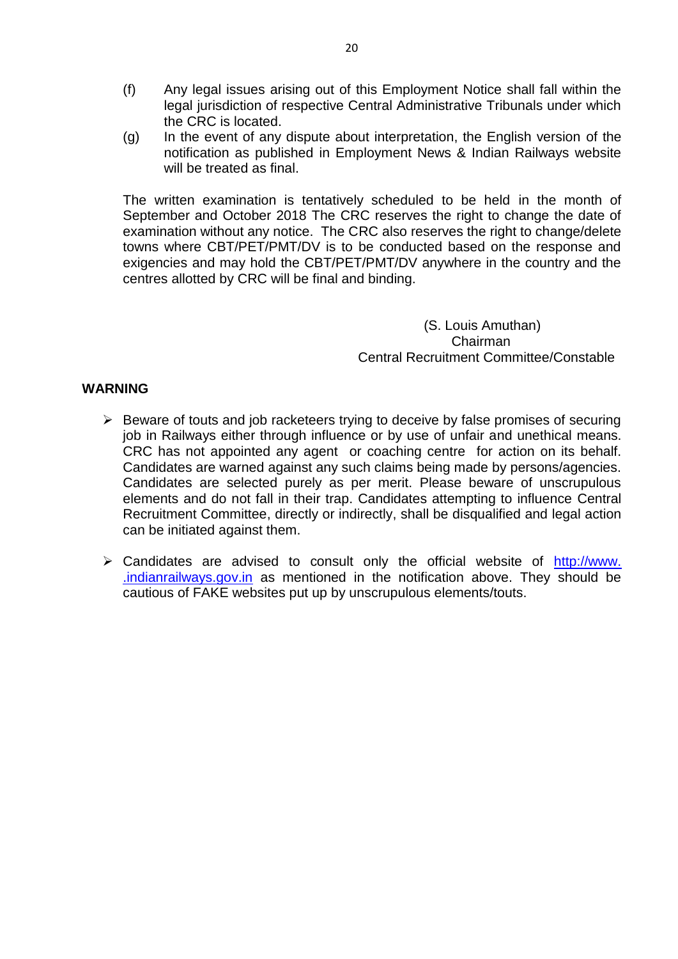- (f) Any legal issues arising out of this Employment Notice shall fall within the legal jurisdiction of respective Central Administrative Tribunals under which the CRC is located.
- (g) In the event of any dispute about interpretation, the English version of the notification as published in Employment News & Indian Railways website will be treated as final.

The written examination is tentatively scheduled to be held in the month of September and October 2018 The CRC reserves the right to change the date of examination without any notice. The CRC also reserves the right to change/delete towns where CBT/PET/PMT/DV is to be conducted based on the response and exigencies and may hold the CBT/PET/PMT/DV anywhere in the country and the centres allotted by CRC will be final and binding.

> (S. Louis Amuthan) Chairman Central Recruitment Committee/Constable

#### **WARNING**

- $\triangleright$  Beware of touts and job racketeers trying to deceive by false promises of securing job in Railways either through influence or by use of unfair and unethical means. CRC has not appointed any agent or coaching centre for action on its behalf. Candidates are warned against any such claims being made by persons/agencies. Candidates are selected purely as per merit. Please beware of unscrupulous elements and do not fall in their trap. Candidates attempting to influence Central Recruitment Committee, directly or indirectly, shall be disqualified and legal action can be initiated against them.
- $\triangleright$  Candidates are advised to consult only the official website of http://www. .indianrailways.gov.in as mentioned in the notification above. They should be cautious of FAKE websites put up by unscrupulous elements/touts.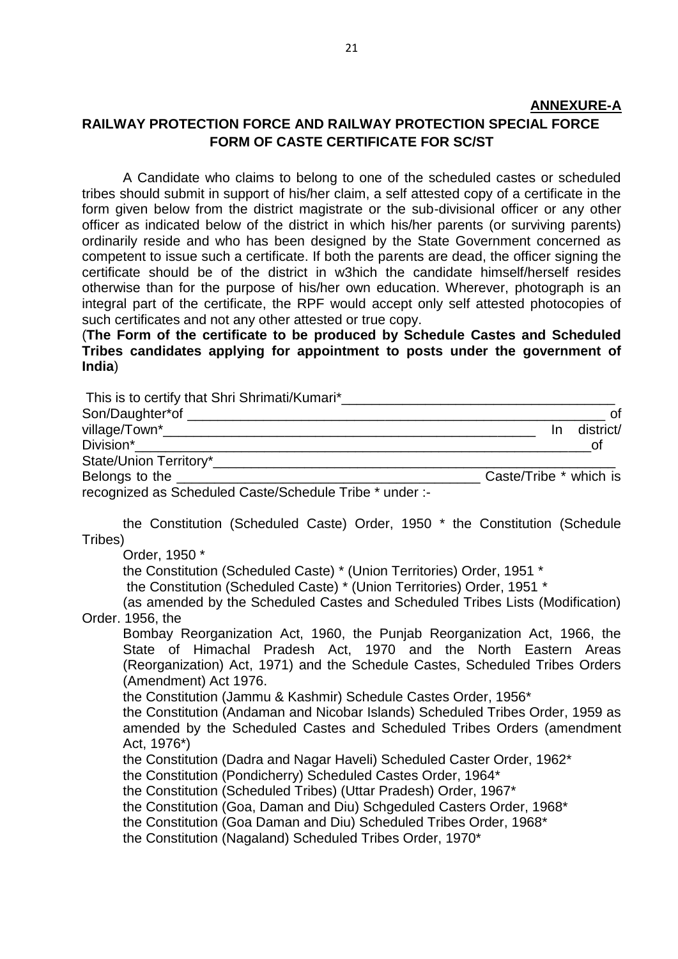# **ANNEXURE-A RAILWAY PROTECTION FORCE AND RAILWAY PROTECTION SPECIAL FORCE FORM OF CASTE CERTIFICATE FOR SC/ST**

A Candidate who claims to belong to one of the scheduled castes or scheduled tribes should submit in support of his/her claim, a self attested copy of a certificate in the form given below from the district magistrate or the sub-divisional officer or any other officer as indicated below of the district in which his/her parents (or surviving parents) ordinarily reside and who has been designed by the State Government concerned as competent to issue such a certificate. If both the parents are dead, the officer signing the certificate should be of the district in w3hich the candidate himself/herself resides otherwise than for the purpose of his/her own education. Wherever, photograph is an integral part of the certificate, the RPF would accept only self attested photocopies of such certificates and not any other attested or true copy.

(**The Form of the certificate to be produced by Schedule Castes and Scheduled Tribes candidates applying for appointment to posts under the government of India**)

| This is to certify that Shri Shrimati/Kumari*___________________________________                                                                                                                                                                                                                                                                                                                                        |
|-------------------------------------------------------------------------------------------------------------------------------------------------------------------------------------------------------------------------------------------------------------------------------------------------------------------------------------------------------------------------------------------------------------------------|
| 0f                                                                                                                                                                                                                                                                                                                                                                                                                      |
| district/<br>$\ln$                                                                                                                                                                                                                                                                                                                                                                                                      |
| Division*<br><b>of</b><br><u> 1990 - Jan James James James James James James James James James James James James James James James James Ja</u>                                                                                                                                                                                                                                                                         |
|                                                                                                                                                                                                                                                                                                                                                                                                                         |
| Caste/Tribe * which is                                                                                                                                                                                                                                                                                                                                                                                                  |
| recognized as Scheduled Caste/Schedule Tribe * under :-                                                                                                                                                                                                                                                                                                                                                                 |
| the Constitution (Scheduled Caste) Order, 1950 * the Constitution (Schedule                                                                                                                                                                                                                                                                                                                                             |
| Tribes)                                                                                                                                                                                                                                                                                                                                                                                                                 |
| Order, 1950 *<br>the Constitution (Scheduled Caste) * (Union Territories) Order, 1951 *<br>the Constitution (Scheduled Caste) * (Union Territories) Order, 1951 *<br>(as amended by the Scheduled Castes and Scheduled Tribes Lists (Modification)                                                                                                                                                                      |
| Order. 1956, the                                                                                                                                                                                                                                                                                                                                                                                                        |
| Bombay Reorganization Act, 1960, the Punjab Reorganization Act, 1966, the<br>State of Himachal Pradesh Act, 1970 and the North Eastern Areas<br>(Reorganization) Act, 1971) and the Schedule Castes, Scheduled Tribes Orders<br>(Amendment) Act 1976.                                                                                                                                                                   |
| the Constitution (Jammu & Kashmir) Schedule Castes Order, 1956*<br>the Constitution (Andaman and Nicobar Islands) Scheduled Tribes Order, 1959 as<br>amended by the Scheduled Castes and Scheduled Tribes Orders (amendment<br>Act, 1976*)                                                                                                                                                                              |
| the Constitution (Dadra and Nagar Haveli) Scheduled Caster Order, 1962*<br>the Constitution (Pondicherry) Scheduled Castes Order, 1964*<br>the Constitution (Scheduled Tribes) (Uttar Pradesh) Order, 1967*<br>the Constitution (Goa, Daman and Diu) Schgeduled Casters Order, 1968*<br>the Constitution (Goa Daman and Diu) Scheduled Tribes Order, 1968*<br>the Constitution (Nagaland) Scheduled Tribes Order, 1970* |
|                                                                                                                                                                                                                                                                                                                                                                                                                         |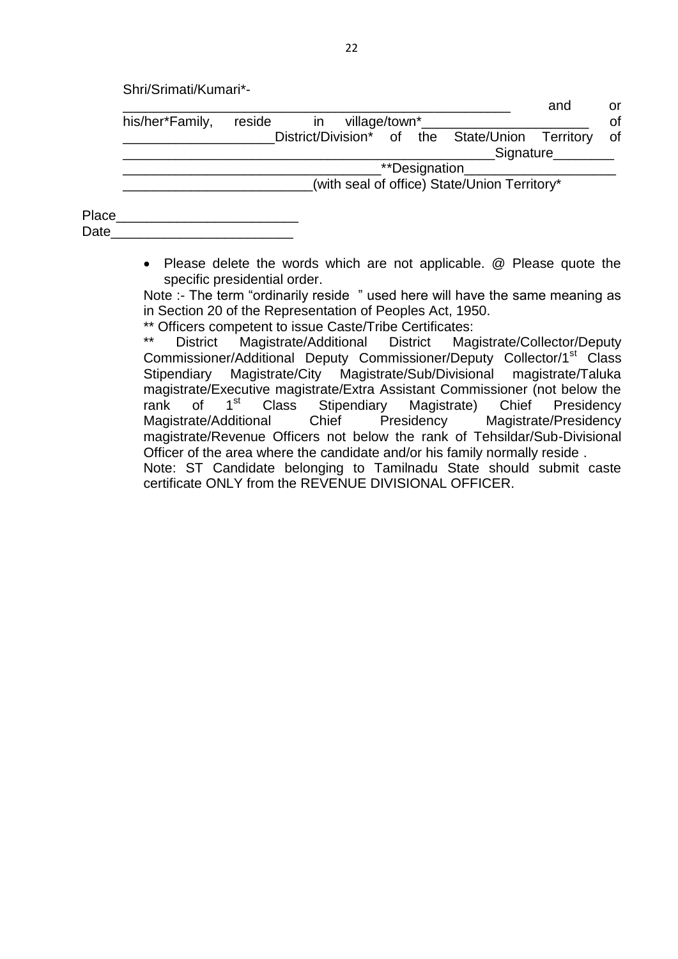| Shri/Srimati/Kumari*- |  |
|-----------------------|--|
|-----------------------|--|

|       |                 |                                              |                                                 |  |               |  | and                 | or |  |
|-------|-----------------|----------------------------------------------|-------------------------------------------------|--|---------------|--|---------------------|----|--|
|       | his/her*Family, | reside                                       | village/town*<br>in                             |  |               |  |                     | of |  |
|       |                 |                                              | District/Division* of the State/Union Territory |  |               |  |                     | of |  |
|       |                 |                                              |                                                 |  |               |  | Signature Signature |    |  |
|       |                 |                                              |                                                 |  | **Designation |  |                     |    |  |
|       |                 | (with seal of office) State/Union Territory* |                                                 |  |               |  |                     |    |  |
|       |                 |                                              |                                                 |  |               |  |                     |    |  |
| Place |                 |                                              |                                                 |  |               |  |                     |    |  |
| Date  |                 |                                              |                                                 |  |               |  |                     |    |  |

 Please delete the words which are not applicable. @ Please quote the specific presidential order.

Note :- The term "ordinarily reside " used here will have the same meaning as in Section 20 of the Representation of Peoples Act, 1950.

\*\* Officers competent to issue Caste/Tribe Certificates:<br>\*\* Pistrict Magistrate/Additional District Mag

District Magistrate/Additional District Magistrate/Collector/Deputy Commissioner/Additional Deputy Commissioner/Deputy Collector/1<sup>st</sup> Class Stipendiary Magistrate/City Magistrate/Sub/Divisional magistrate/Taluka magistrate/Executive magistrate/Extra Assistant Commissioner (not below the rank of 1<sup>st</sup> Class Stipendiary Magistrate) Chief Presidency Magistrate/Additional Chief Presidency Magistrate/Presidency magistrate/Revenue Officers not below the rank of Tehsildar/Sub-Divisional Officer of the area where the candidate and/or his family normally reside .

Note: ST Candidate belonging to Tamilnadu State should submit caste certificate ONLY from the REVENUE DIVISIONAL OFFICER.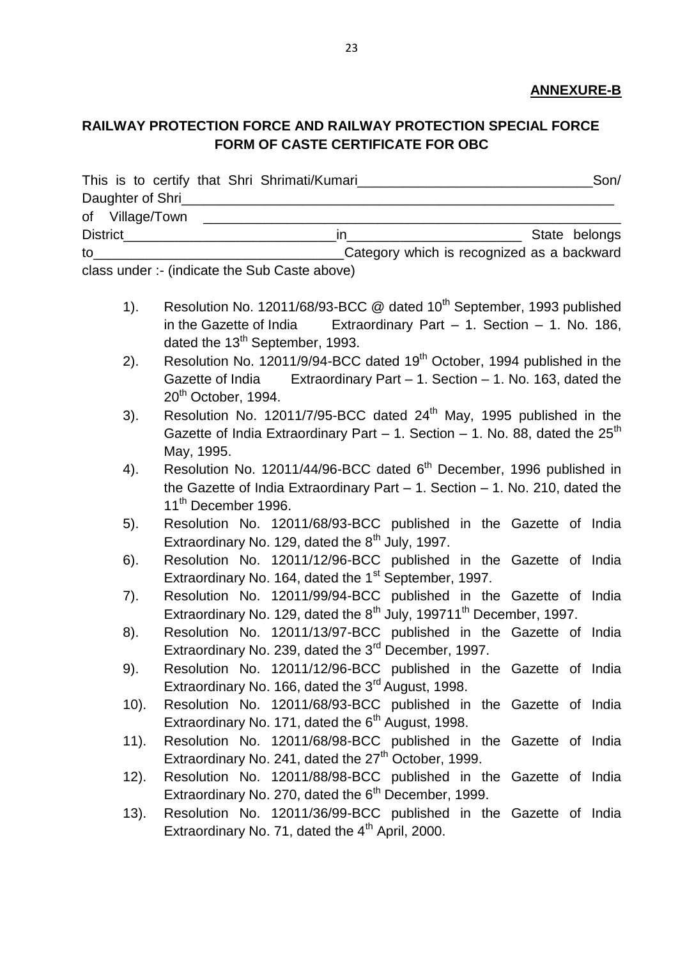### **ANNEXURE-B**

## **RAILWAY PROTECTION FORCE AND RAILWAY PROTECTION SPECIAL FORCE FORM OF CASTE CERTIFICATE FOR OBC**

|                  | This is to certify that Shri Shrimati/Kumari | Son/          |
|------------------|----------------------------------------------|---------------|
| Daughter of Shri |                                              |               |
| of Village/Town  |                                              |               |
| <b>District</b>  |                                              | State belongs |
| to               | Category which is recognized as a backward   |               |

class under :- (indicate the Sub Caste above)

- 1). Resolution No. 12011/68/93-BCC @ dated 10<sup>th</sup> September, 1993 published in the Gazette of India Extraordinary Part  $-$  1. Section  $-$  1. No. 186, dated the  $13<sup>th</sup>$  September, 1993.
- 2). Resolution No. 12011/9/94-BCC dated  $19<sup>th</sup>$  October, 1994 published in the Gazette of India Extraordinary Part – 1. Section – 1. No. 163, dated the 20<sup>th</sup> October, 1994.
- 3). Resolution No. 12011/7/95-BCC dated  $24<sup>th</sup>$  May, 1995 published in the Gazette of India Extraordinary Part  $-1$ . Section  $-1$ . No. 88, dated the 25<sup>th</sup> May, 1995.
- 4). Resolution No. 12011/44/96-BCC dated 6<sup>th</sup> December, 1996 published in the Gazette of India Extraordinary Part – 1. Section – 1. No. 210, dated the 11<sup>th</sup> December 1996.
- 5). Resolution No. 12011/68/93-BCC published in the Gazette of India Extraordinary No. 129, dated the  $8<sup>th</sup>$  July, 1997.
- 6). Resolution No. 12011/12/96-BCC published in the Gazette of India Extraordinary No. 164, dated the 1<sup>st</sup> September, 1997.
- 7). Resolution No. 12011/99/94-BCC published in the Gazette of India Extraordinary No. 129, dated the 8<sup>th</sup> July, 199711<sup>th</sup> December, 1997.
- 8). Resolution No. 12011/13/97-BCC published in the Gazette of India Extraordinary No. 239, dated the 3<sup>rd</sup> December, 1997.
- 9). Resolution No. 12011/12/96-BCC published in the Gazette of India Extraordinary No. 166, dated the 3<sup>rd</sup> August, 1998.
- 10). Resolution No. 12011/68/93-BCC published in the Gazette of India Extraordinary No. 171, dated the  $6<sup>th</sup>$  August, 1998.
- 11). Resolution No. 12011/68/98-BCC published in the Gazette of India Extraordinary No. 241, dated the  $27<sup>th</sup>$  October, 1999.
- 12). Resolution No. 12011/88/98-BCC published in the Gazette of India Extraordinary No. 270, dated the 6<sup>th</sup> December, 1999.
- 13). Resolution No. 12011/36/99-BCC published in the Gazette of India Extraordinary No. 71, dated the  $4<sup>th</sup>$  April, 2000.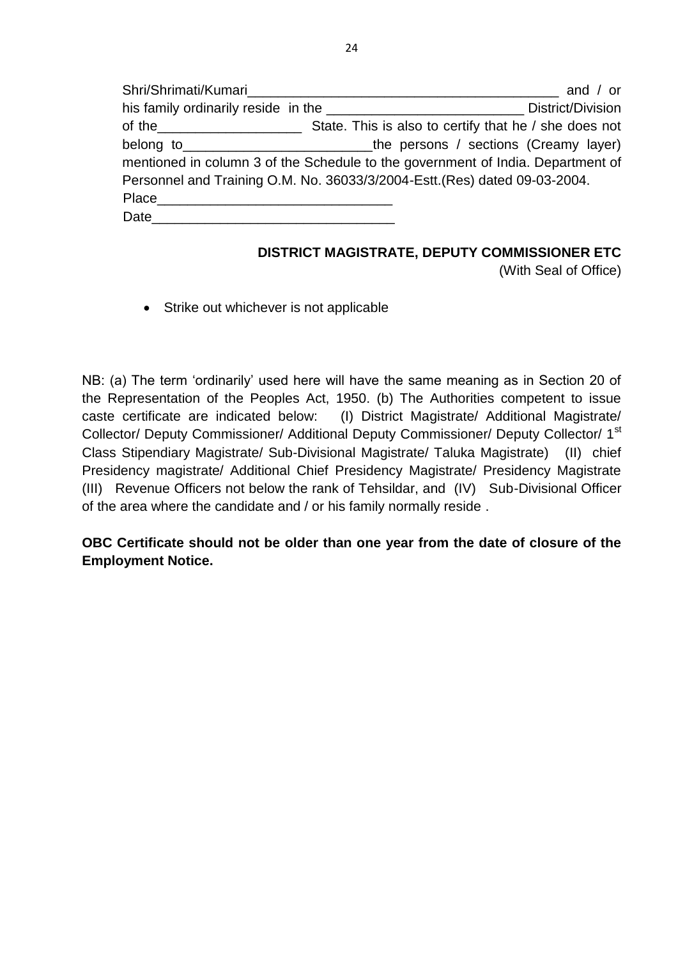|      | $\_$ and / or                                                                          |
|------|----------------------------------------------------------------------------------------|
|      | District/Division                                                                      |
|      | of the <u>contact the state.</u> State. This is also to certify that he / she does not |
|      | belong to ________________________________the persons / sections (Creamy layer)        |
|      | mentioned in column 3 of the Schedule to the government of India. Department of        |
|      | Personnel and Training O.M. No. 36033/3/2004-Estt. (Res) dated 09-03-2004.             |
|      |                                                                                        |
| Date |                                                                                        |

### **DISTRICT MAGISTRATE, DEPUTY COMMISSIONER ETC**

(With Seal of Office)

• Strike out whichever is not applicable

NB: (a) The term 'ordinarily' used here will have the same meaning as in Section 20 of the Representation of the Peoples Act, 1950. (b) The Authorities competent to issue caste certificate are indicated below: (I) District Magistrate/ Additional Magistrate/ Collector/ Deputy Commissioner/ Additional Deputy Commissioner/ Deputy Collector/ 1st Class Stipendiary Magistrate/ Sub-Divisional Magistrate/ Taluka Magistrate) (II) chief Presidency magistrate/ Additional Chief Presidency Magistrate/ Presidency Magistrate (III) Revenue Officers not below the rank of Tehsildar, and (IV) Sub-Divisional Officer of the area where the candidate and / or his family normally reside .

**OBC Certificate should not be older than one year from the date of closure of the Employment Notice.**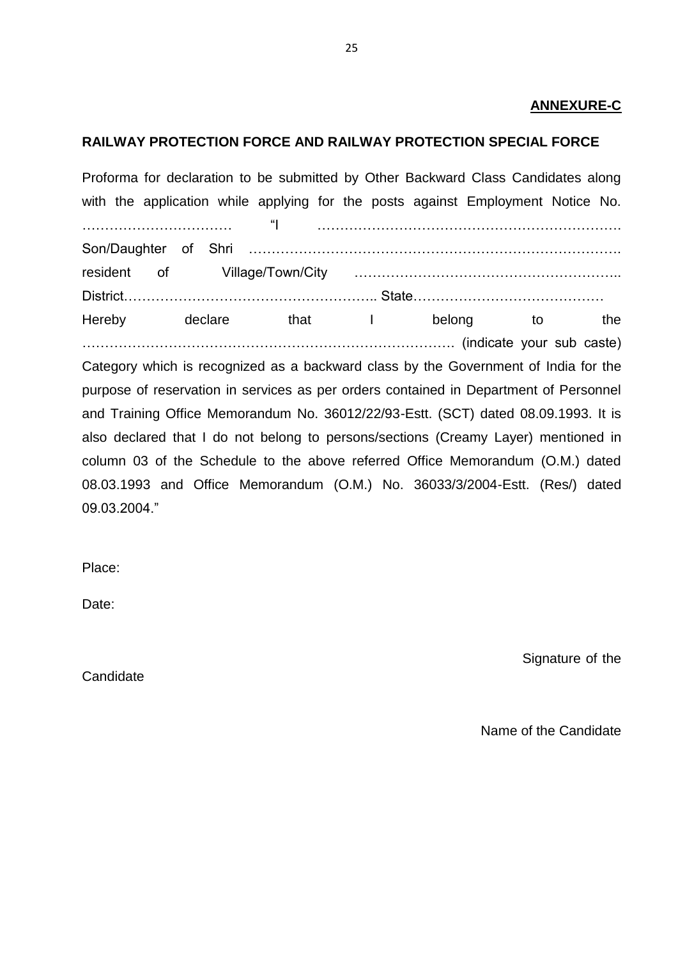#### **ANNEXURE-C**

#### **RAILWAY PROTECTION FORCE AND RAILWAY PROTECTION SPECIAL FORCE**

Proforma for declaration to be submitted by Other Backward Class Candidates along with the application while applying for the posts against Employment Notice No. …………………………… "I …………………………………………………………. Son/Daughter of Shri ………………………………………………………………………. resident of Village/Town/City ………………………………………………….. District……………………………………………….. State…………………………………… Hereby declare that I belong to the ………………………………………………………………………. (indicate your sub caste)

Category which is recognized as a backward class by the Government of India for the purpose of reservation in services as per orders contained in Department of Personnel and Training Office Memorandum No. 36012/22/93-Estt. (SCT) dated 08.09.1993. It is also declared that I do not belong to persons/sections (Creamy Layer) mentioned in column 03 of the Schedule to the above referred Office Memorandum (O.M.) dated 08.03.1993 and Office Memorandum (O.M.) No. 36033/3/2004-Estt. (Res/) dated 09.03.2004."

Place:

Date:

Signature of the

**Candidate** 

Name of the Candidate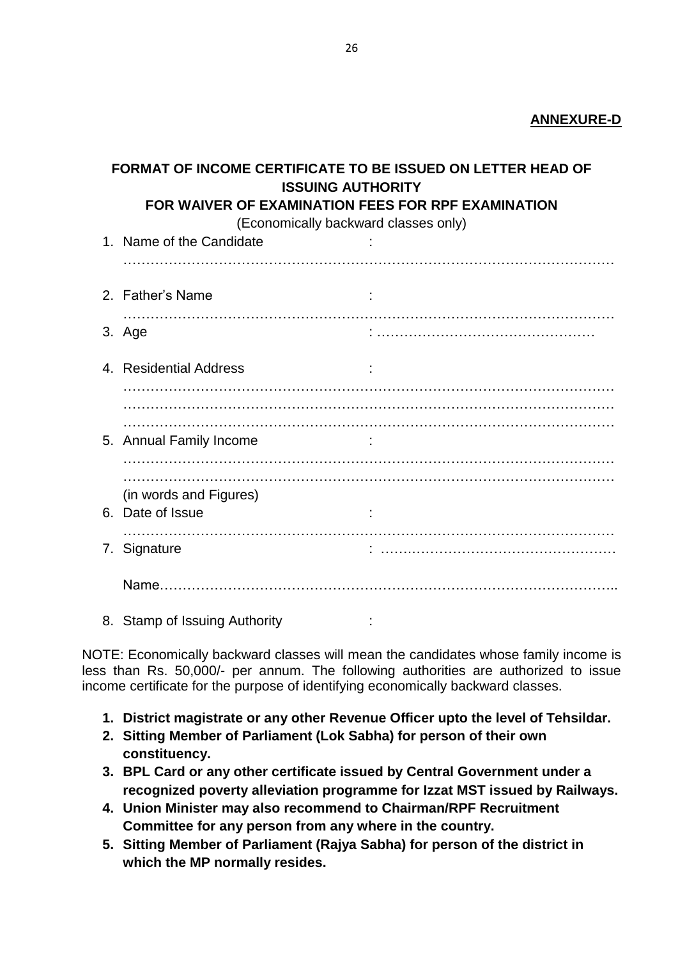#### **ANNEXURE-D**

| <b>FORMAT OF INCOME CERTIFICATE TO BE ISSUED ON LETTER HEAD OF</b><br><b>ISSUING AUTHORITY</b> |                                                    |  |  |  |  |  |  |  |  |  |  |  |
|------------------------------------------------------------------------------------------------|----------------------------------------------------|--|--|--|--|--|--|--|--|--|--|--|
|                                                                                                | FOR WAIVER OF EXAMINATION FEES FOR RPF EXAMINATION |  |  |  |  |  |  |  |  |  |  |  |
| (Economically backward classes only)                                                           |                                                    |  |  |  |  |  |  |  |  |  |  |  |
|                                                                                                | 1. Name of the Candidate                           |  |  |  |  |  |  |  |  |  |  |  |
|                                                                                                |                                                    |  |  |  |  |  |  |  |  |  |  |  |
|                                                                                                | 2. Father's Name                                   |  |  |  |  |  |  |  |  |  |  |  |
|                                                                                                |                                                    |  |  |  |  |  |  |  |  |  |  |  |
|                                                                                                | 3. Age                                             |  |  |  |  |  |  |  |  |  |  |  |
|                                                                                                | 4. Residential Address                             |  |  |  |  |  |  |  |  |  |  |  |
|                                                                                                |                                                    |  |  |  |  |  |  |  |  |  |  |  |
|                                                                                                |                                                    |  |  |  |  |  |  |  |  |  |  |  |
|                                                                                                | 5. Annual Family Income                            |  |  |  |  |  |  |  |  |  |  |  |
|                                                                                                |                                                    |  |  |  |  |  |  |  |  |  |  |  |
|                                                                                                |                                                    |  |  |  |  |  |  |  |  |  |  |  |
|                                                                                                | (in words and Figures)                             |  |  |  |  |  |  |  |  |  |  |  |
|                                                                                                | 6. Date of Issue                                   |  |  |  |  |  |  |  |  |  |  |  |
|                                                                                                | 7. Signature                                       |  |  |  |  |  |  |  |  |  |  |  |
|                                                                                                |                                                    |  |  |  |  |  |  |  |  |  |  |  |
|                                                                                                |                                                    |  |  |  |  |  |  |  |  |  |  |  |
|                                                                                                | 8. Stamp of Issuing Authority                      |  |  |  |  |  |  |  |  |  |  |  |

NOTE: Economically backward classes will mean the candidates whose family income is less than Rs. 50,000/- per annum. The following authorities are authorized to issue income certificate for the purpose of identifying economically backward classes.

- **1. District magistrate or any other Revenue Officer upto the level of Tehsildar.**
- **2. Sitting Member of Parliament (Lok Sabha) for person of their own constituency.**
- **3. BPL Card or any other certificate issued by Central Government under a recognized poverty alleviation programme for Izzat MST issued by Railways.**
- **4. Union Minister may also recommend to Chairman/RPF Recruitment Committee for any person from any where in the country.**
- **5. Sitting Member of Parliament (Rajya Sabha) for person of the district in which the MP normally resides.**